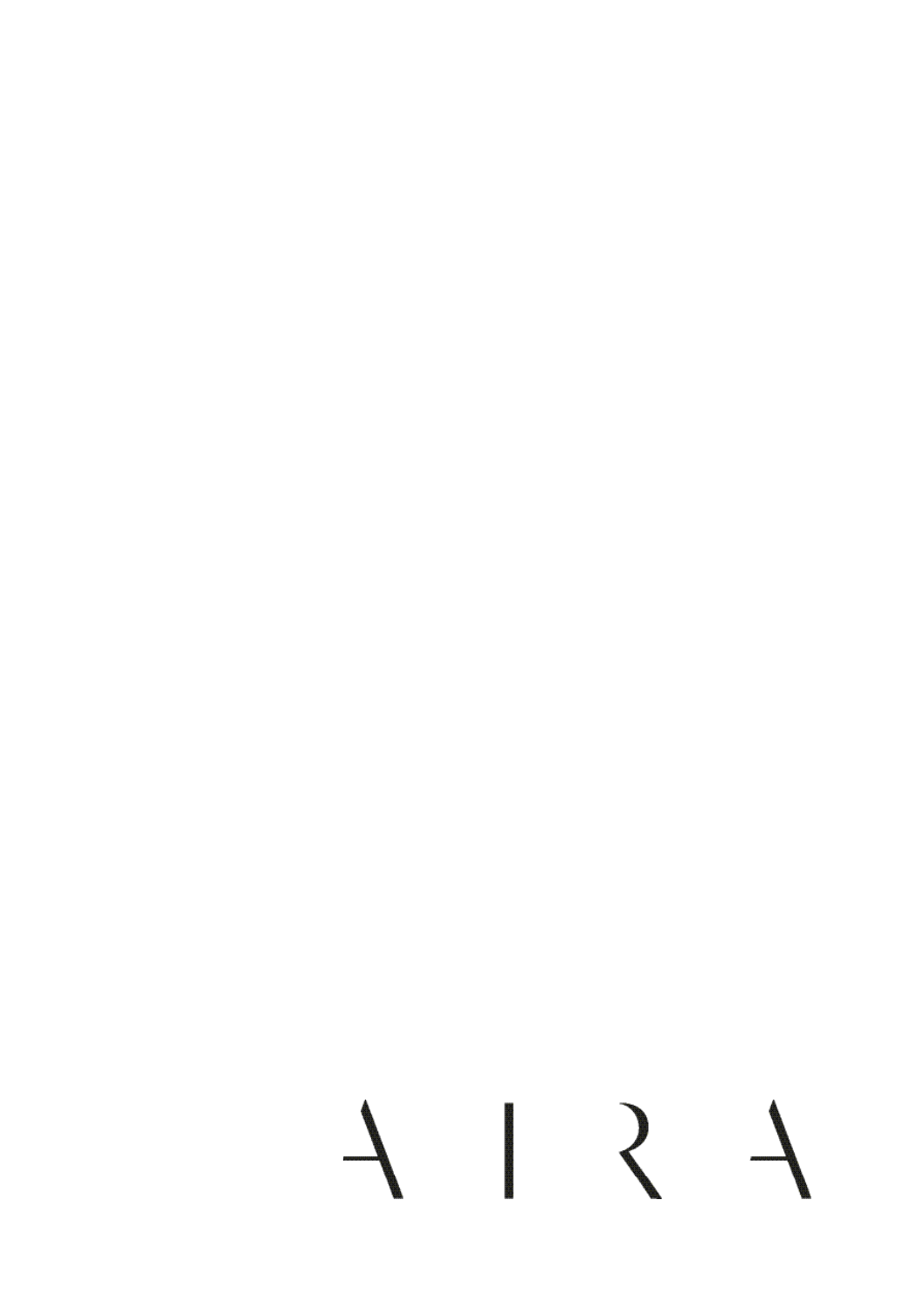#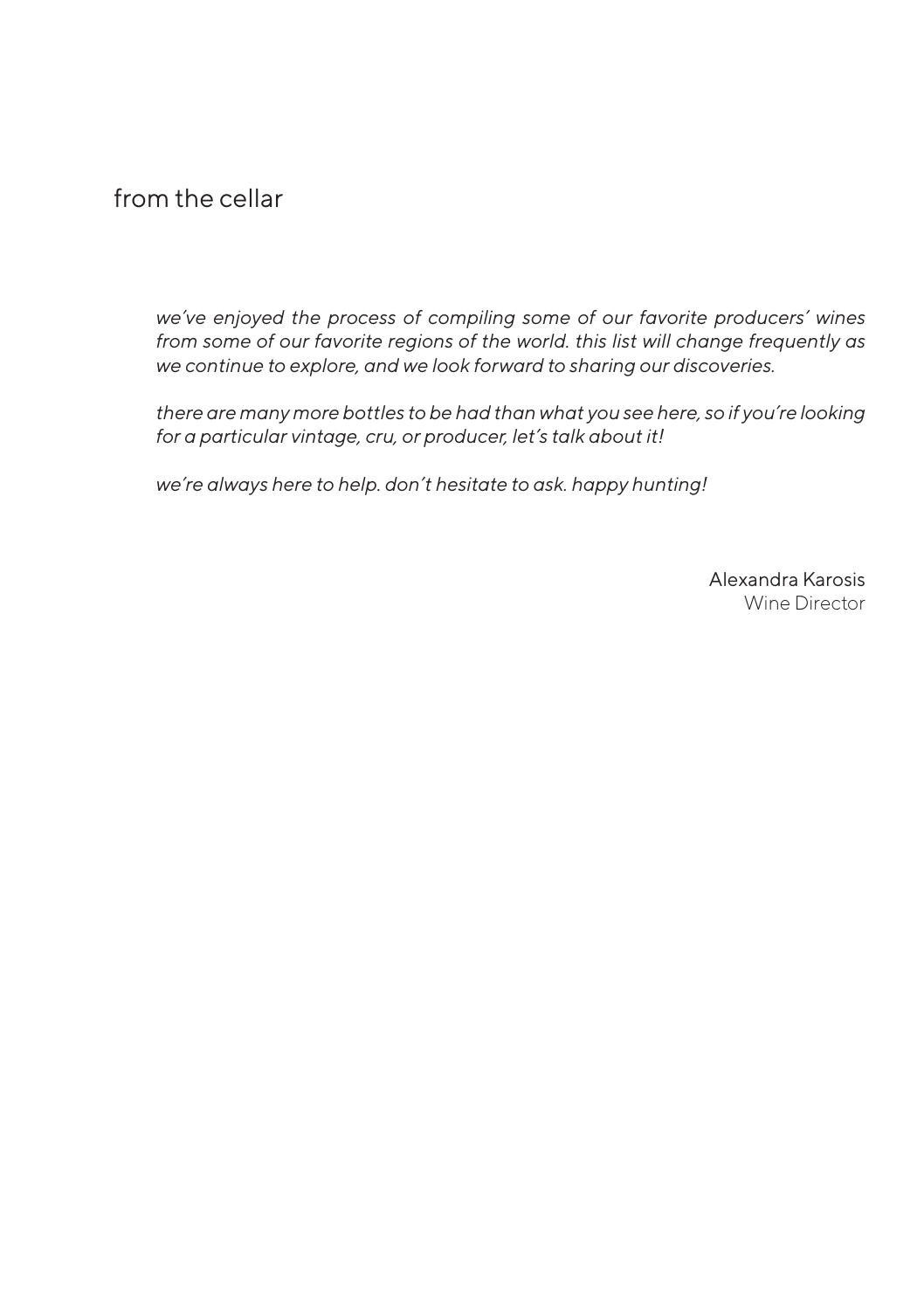from the cellar

*we've enjoyed the process of compiling some of our favorite producers' wines from some of our favorite regions of the world. this list will change frequently as we continue to explore, and we look forward to sharing our discoveries.* 

*there are many more bottles to be had than what you see here, so if you're looking for a particular vintage, cru, or producer, let's talk about it!*

*we're always here to help. don't hesitate to ask. happy hunting!*

Alexandra Karosis Wine Director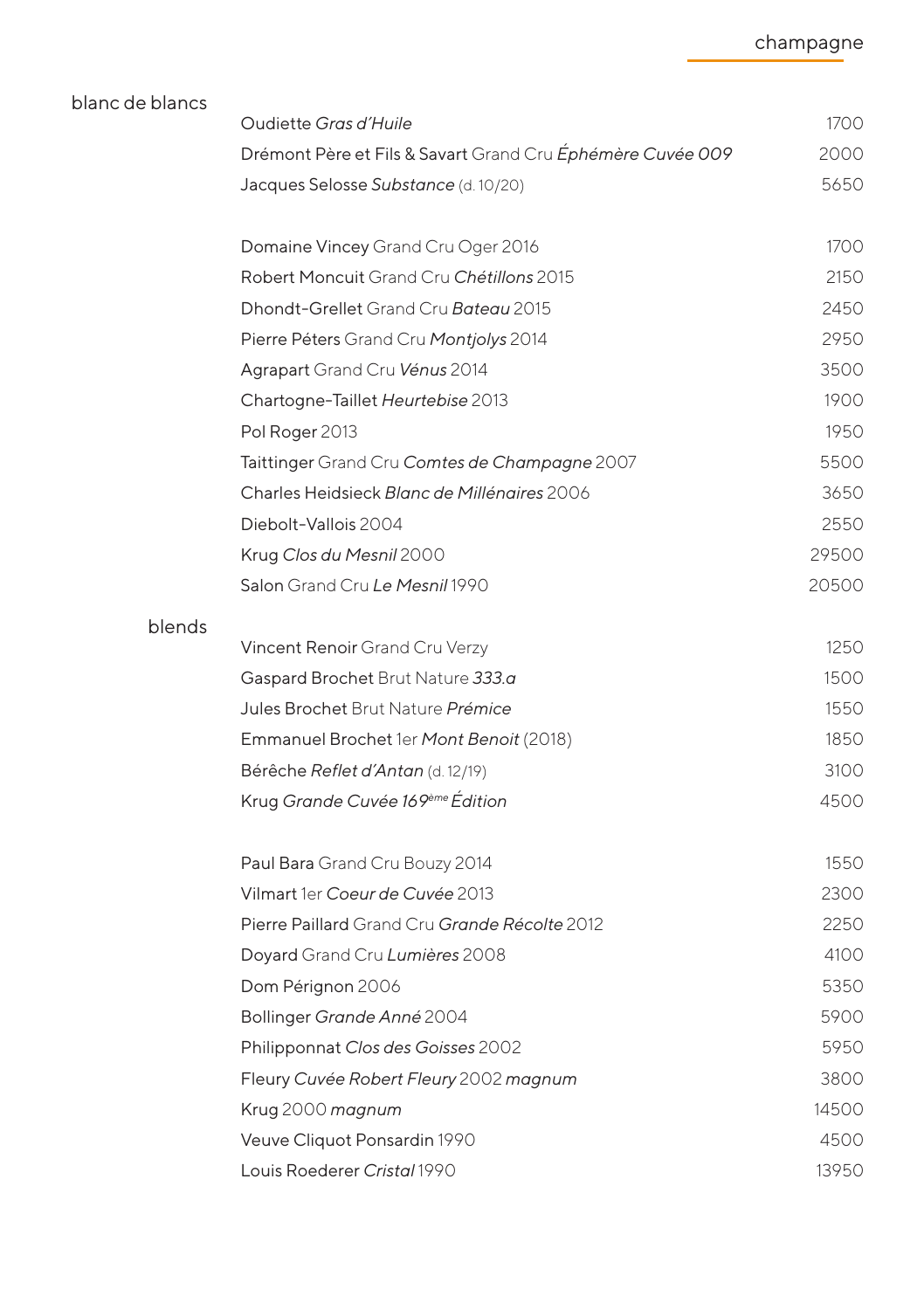| blanc de blancs | Oudiette Gras d'Huile                                      | 1700  |
|-----------------|------------------------------------------------------------|-------|
|                 | Drémont Père et Fils & Savart Grand Cru Éphémère Cuvée 009 | 2000  |
|                 | Jacques Selosse Substance (d. 10/20)                       | 5650  |
|                 |                                                            |       |
|                 | Domaine Vincey Grand Cru Oger 2016                         | 1700  |
|                 | Robert Moncuit Grand Cru Chétillons 2015                   | 2150  |
|                 | Dhondt-Grellet Grand Cru Bateau 2015                       | 2450  |
|                 | Pierre Péters Grand Cru Montjolys 2014                     | 2950  |
|                 | Agrapart Grand Cru Vénus 2014                              | 3500  |
|                 | Chartogne-Taillet Heurtebise 2013                          | 1900  |
|                 | Pol Roger 2013                                             | 1950  |
|                 | Taittinger Grand Cru Comtes de Champagne 2007              | 5500  |
|                 | Charles Heidsieck Blanc de Millénaires 2006                | 3650  |
|                 | Diebolt-Vallois 2004                                       | 2550  |
|                 | Krug Clos du Mesnil 2000                                   | 29500 |
|                 | Salon Grand Cru Le Mesnil 1990                             | 20500 |
| blends          |                                                            |       |
|                 | Vincent Renoir Grand Cru Verzy                             | 1250  |
|                 | Gaspard Brochet Brut Nature 333.a                          | 1500  |
|                 | Jules Brochet Brut Nature Prémice                          | 1550  |
|                 | Emmanuel Brochet 1er Mont Benoit (2018)                    | 1850  |
|                 | Bérêche Reflet d'Antan (d. 12/19)                          | 3100  |
|                 | Krug Grande Cuvée 169ème Édition                           | 4500  |
|                 | Paul Bara Grand Cru Bouzy 2014                             | 1550  |
|                 | Vilmart 1er Coeur de Cuvée 2013                            | 2300  |
|                 | Pierre Paillard Grand Cru Grande Récolte 2012              | 2250  |
|                 | Doyard Grand Cru Lumières 2008                             | 4100  |
|                 | Dom Pérignon 2006                                          | 5350  |
|                 | Bollinger Grande Anné 2004                                 | 5900  |
|                 | Philipponnat Clos des Goisses 2002                         | 5950  |
|                 | Fleury Cuvée Robert Fleury 2002 magnum                     | 3800  |
|                 | Krug 2000 magnum                                           | 14500 |
|                 | Veuve Cliquot Ponsardin 1990                               | 4500  |
|                 | Louis Roederer Cristal 1990                                | 13950 |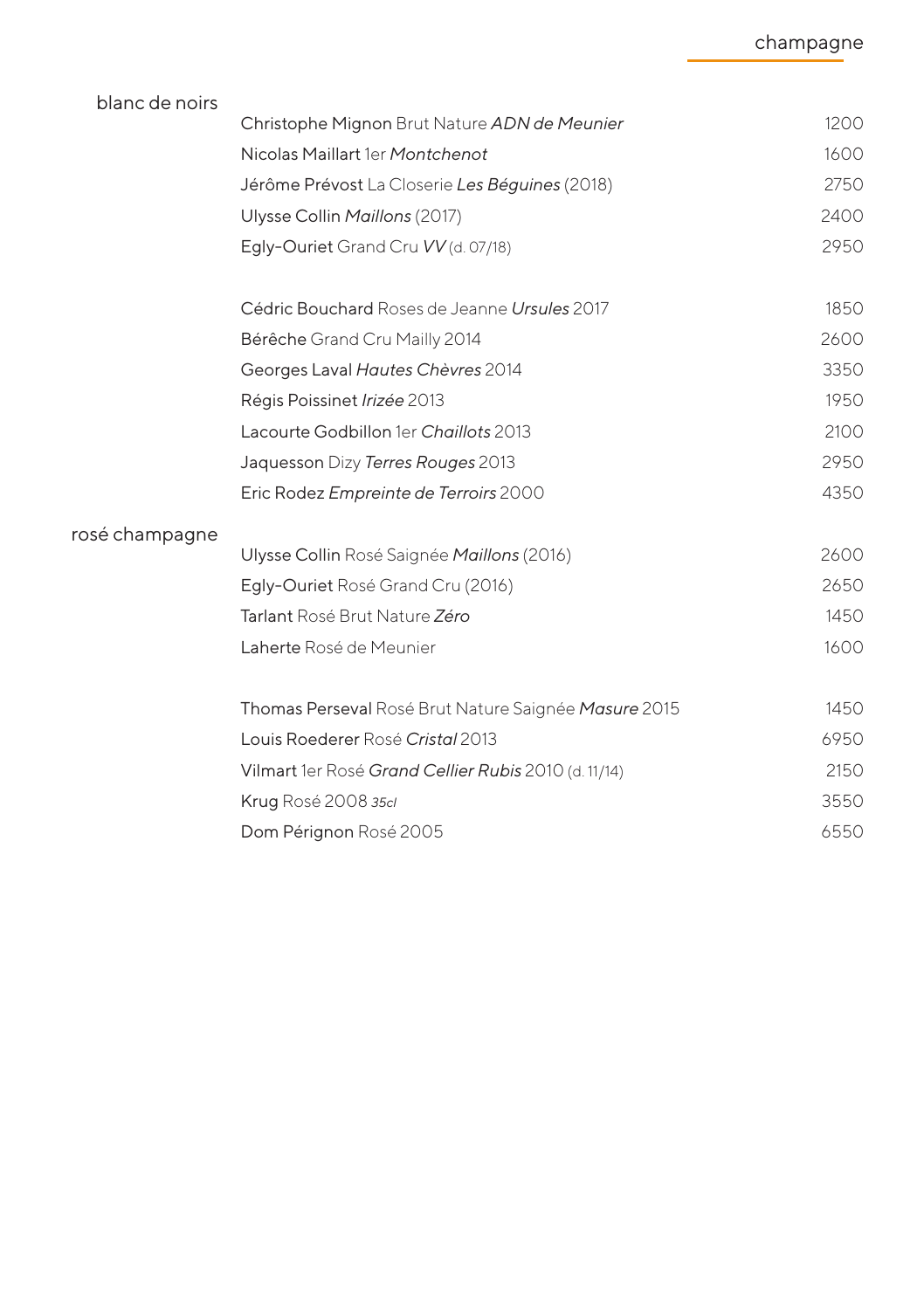| blanc de noirs |                                                      |      |
|----------------|------------------------------------------------------|------|
|                | Christophe Mignon Brut Nature ADN de Meunier         | 1200 |
|                | Nicolas Maillart 1er Montchenot                      | 1600 |
|                | Jérôme Prévost La Closerie Les Béguines (2018)       | 2750 |
|                | Ulysse Collin Maillons (2017)                        | 2400 |
|                | Egly-Ouriet Grand Cru VV (d. 07/18)                  | 2950 |
|                | Cédric Bouchard Roses de Jeanne Ursules 2017         | 1850 |
|                | Bérêche Grand Cru Mailly 2014                        | 2600 |
|                | Georges Laval Hautes Chèvres 2014                    | 3350 |
|                | Régis Poissinet Irizée 2013                          | 1950 |
|                | Lacourte Godbillon 1er Chaillots 2013                | 2100 |
|                | Jaquesson Dizy Terres Rouges 2013                    | 2950 |
|                | Eric Rodez Empreinte de Terroirs 2000                | 4350 |
| rosé champagne |                                                      |      |
|                | Ulysse Collin Rosé Saignée Maillons (2016)           | 2600 |
|                | Egly-Ouriet Rosé Grand Cru (2016)                    | 2650 |
|                | Tarlant Rosé Brut Nature Zéro                        | 1450 |
|                | Laherte Rosé de Meunier                              | 1600 |
|                | Thomas Perseval Rosé Brut Nature Saignée Masure 2015 | 1450 |
|                | Louis Roederer Rosé Cristal 2013                     | 6950 |
|                | Vilmart 1er Rosé Grand Cellier Rubis 2010 (d. 11/14) | 2150 |
|                | Krug Rosé 2008 35cl                                  | 3550 |
|                | Dom Pérignon Rosé 2005                               | 6550 |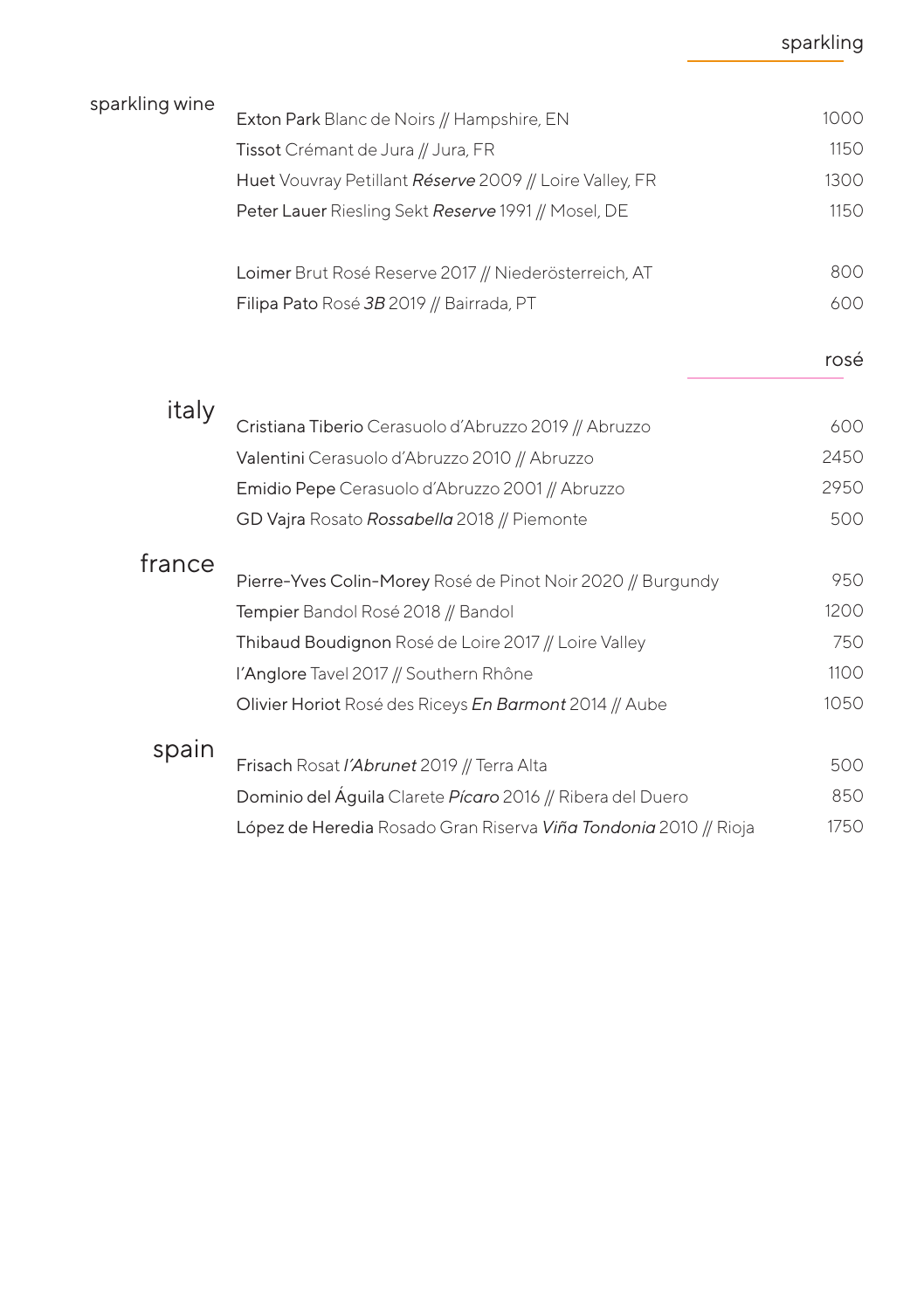#### sparkling

| sparkling wine |                                                                  |      |
|----------------|------------------------------------------------------------------|------|
|                | Exton Park Blanc de Noirs // Hampshire, EN                       | 1000 |
|                | Tissot Crémant de Jura // Jura, FR                               | 1150 |
|                | Huet Vouvray Petillant Réserve 2009 // Loire Valley, FR          | 1300 |
|                | Peter Lauer Riesling Sekt Reserve 1991 // Mosel, DE              | 1150 |
|                | Loimer Brut Rosé Reserve 2017 // Niederösterreich, AT            | 800  |
|                | Filipa Pato Rosé 3B 2019 // Bairrada, PT                         | 600  |
|                |                                                                  | rosé |
| italy          | Cristiana Tiberio Cerasuolo d'Abruzzo 2019 // Abruzzo            | 600  |
|                | Valentini Cerasuolo d'Abruzzo 2010 // Abruzzo                    | 2450 |
|                |                                                                  |      |
|                | Emidio Pepe Cerasuolo d'Abruzzo 2001 // Abruzzo                  | 2950 |
|                | GD Vajra Rosato Rossabella 2018 // Piemonte                      | 500  |
| france         | Pierre-Yves Colin-Morey Rosé de Pinot Noir 2020 // Burgundy      | 950  |
|                | Tempier Bandol Rosé 2018 // Bandol                               | 1200 |
|                | Thibaud Boudignon Rosé de Loire 2017 // Loire Valley             | 750  |
|                | l'Anglore Tavel 2017 // Southern Rhône                           | 1100 |
|                | Olivier Horiot Rosé des Riceys En Barmont 2014 // Aube           | 1050 |
| spain          | Frisach Rosat /'Abrunet 2019 // Terra Alta                       | 500  |
|                |                                                                  |      |
|                | Dominio del Aguila Clarete Pícaro 2016 // Ribera del Duero       | 850  |
|                | López de Heredia Rosado Gran Riserva Viña Tondonia 2010 // Rioja | 1750 |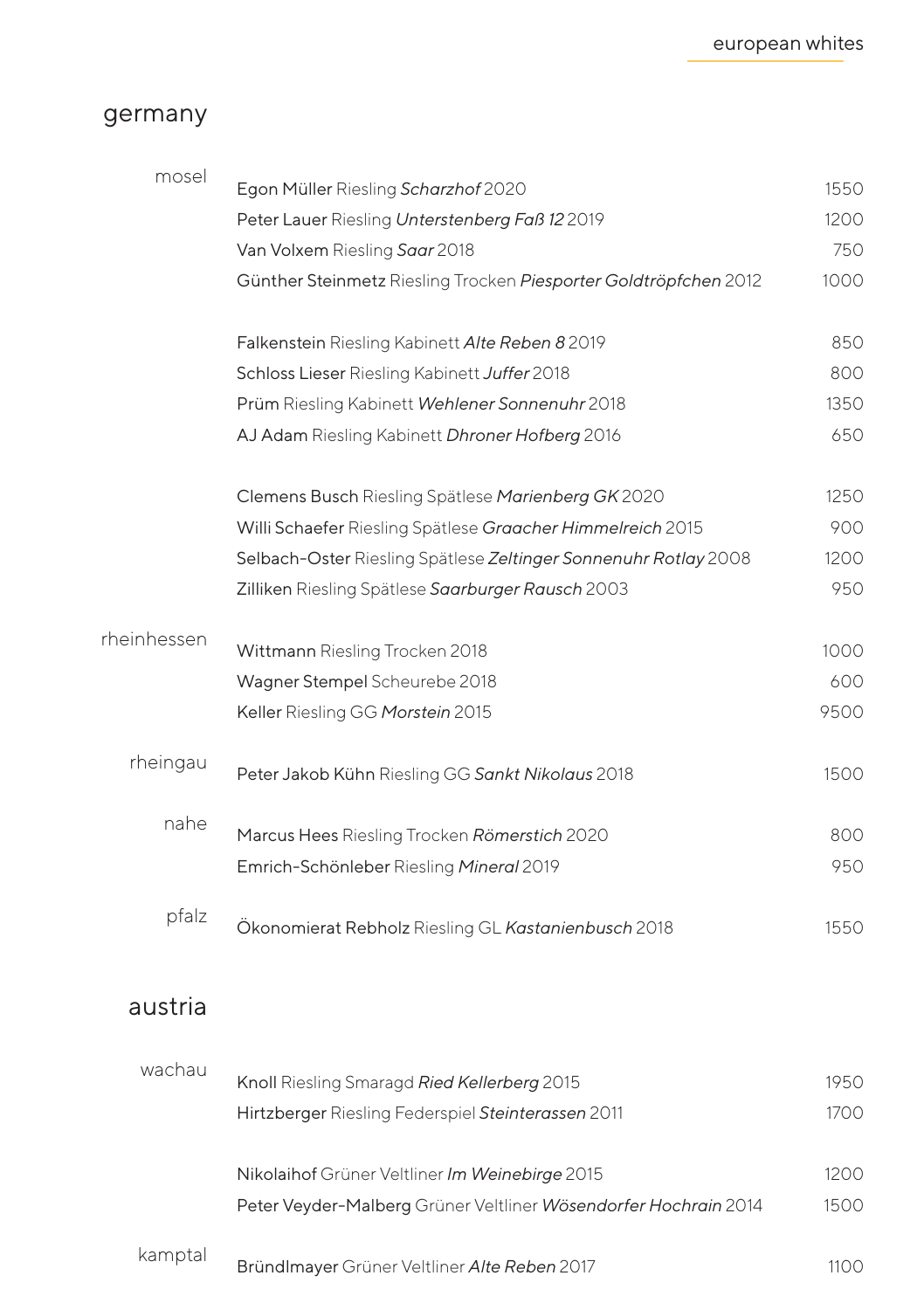#### germany

| mosel       | Egon Müller Riesling Scharzhof 2020                              | 1550 |
|-------------|------------------------------------------------------------------|------|
|             | Peter Lauer Riesling Unterstenberg Faß 12 2019                   | 1200 |
|             | Van Volxem Riesling Saar 2018                                    | 750  |
|             | Günther Steinmetz Riesling Trocken Piesporter Goldtröpfchen 2012 | 1000 |
|             | Falkenstein Riesling Kabinett Alte Reben 8 2019                  | 850  |
|             | Schloss Lieser Riesling Kabinett Juffer 2018                     | 800  |
|             | Prüm Riesling Kabinett Wehlener Sonnenuhr 2018                   | 1350 |
|             | AJ Adam Riesling Kabinett Dhroner Hofberg 2016                   | 650  |
|             | Clemens Busch Riesling Spätlese Marienberg GK 2020               | 1250 |
|             | Willi Schaefer Riesling Spätlese Graacher Himmelreich 2015       | 900  |
|             | Selbach-Oster Riesling Spätlese Zeltinger Sonnenuhr Rotlay 2008  | 1200 |
|             | Zilliken Riesling Spätlese Saarburger Rausch 2003                | 950  |
| rheinhessen | Wittmann Riesling Trocken 2018                                   | 1000 |
|             | Wagner Stempel Scheurebe 2018                                    | 600  |
|             | Keller Riesling GG Morstein 2015                                 | 9500 |
| rheingau    | Peter Jakob Kühn Riesling GG Sankt Nikolaus 2018                 | 1500 |
| nahe        | Marcus Hees Riesling Trocken Römerstich 2020                     | 800  |
|             | Emrich-Schönleber Riesling Mineral 2019                          | 950  |
| pfalz       | Ökonomierat Rebholz Riesling GL Kastanienbusch 2018              | 1550 |
| austria     |                                                                  |      |
| wachau      | Knoll Riesling Smaragd Ried Kellerberg 2015                      | 1950 |
|             | Hirtzberger Riesling Federspiel Steinterassen 2011               | 1700 |
|             |                                                                  |      |
|             | Nikolaihof Grüner Veltliner Im Weinebirge 2015                   | 1200 |
|             | Peter Veyder-Malberg Grüner Veltliner Wösendorfer Hochrain 2014  | 1500 |

kamptal Bründlmayer Grüner Veltliner *Alte Reben* 2017

1100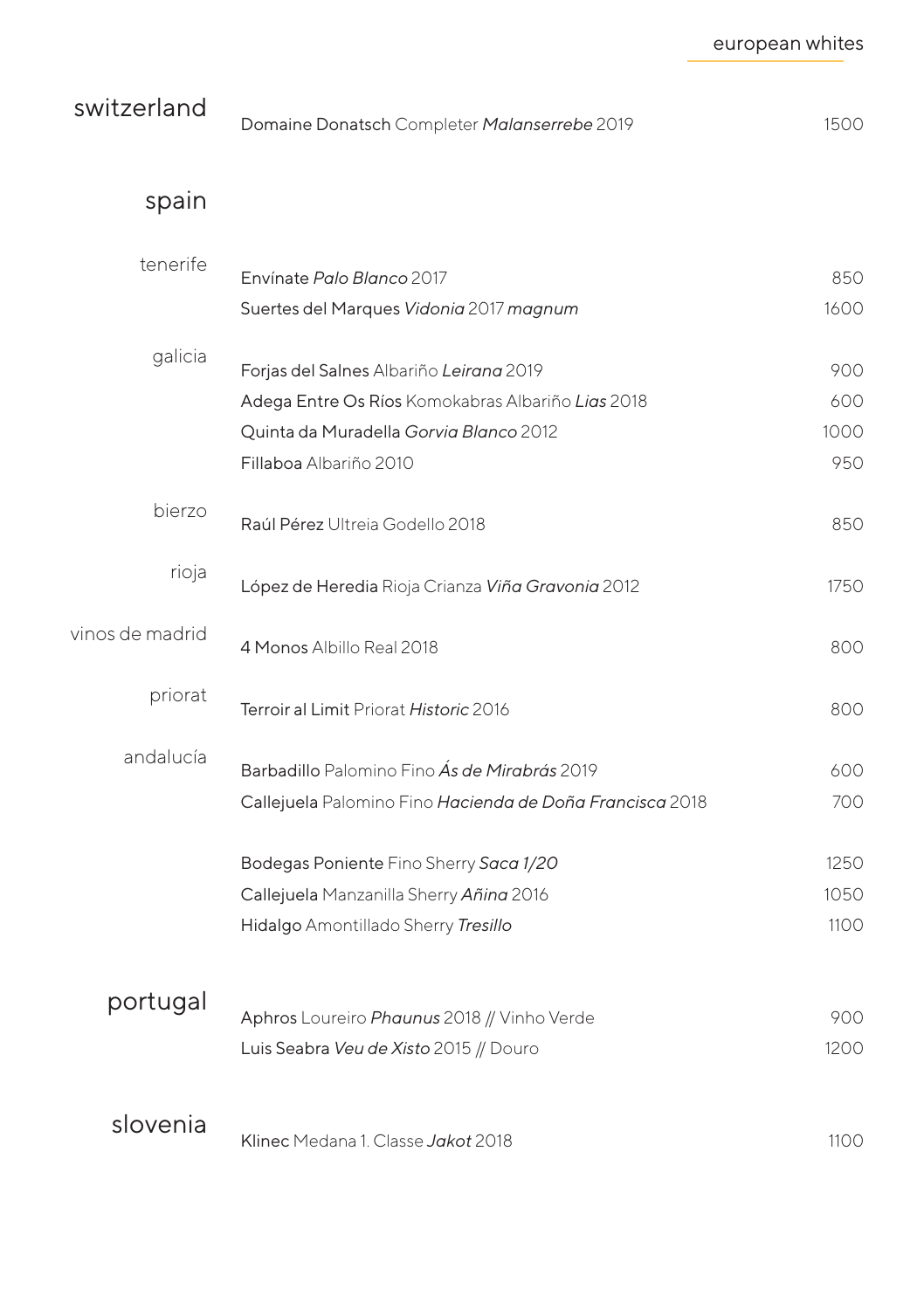| switzerland | Domaine Donatsch Completer Malanserrebe 2019 | 1500 |
|-------------|----------------------------------------------|------|
|             |                                              |      |

#### spain

| tenerife        | Envínate Palo Blanco 2017                                | 850  |
|-----------------|----------------------------------------------------------|------|
|                 | Suertes del Marques Vidonia 2017 magnum                  | 1600 |
|                 |                                                          |      |
| galicia         | Forjas del Salnes Albariño Leirana 2019                  | 900  |
|                 | Adega Entre Os Ríos Komokabras Albariño Lias 2018        | 600  |
|                 | Quinta da Muradella Gorvia Blanco 2012                   | 1000 |
|                 | Fillaboa Albariño 2010                                   | 950  |
| bierzo          | Raúl Pérez Ultreia Godello 2018                          | 850  |
| rioja           | López de Heredia Rioja Crianza Viña Gravonia 2012        | 1750 |
| vinos de madrid | 4 Monos Albillo Real 2018                                | 800  |
| priorat         | Terroir al Limit Priorat Historic 2016                   | 800  |
| andalucía       | Barbadillo Palomino Fino Ás de Mirabrás 2019             | 600  |
|                 | Callejuela Palomino Fino Hacienda de Doña Francisca 2018 | 700  |
|                 | Bodegas Poniente Fino Sherry Saca 1/20                   | 1250 |
|                 | Callejuela Manzanilla Sherry Añina 2016                  | 1050 |
|                 | Hidalgo Amontillado Sherry Tresillo                      | 1100 |
|                 |                                                          |      |
| portugal        | Aphros Loureiro Phaunus 2018 // Vinho Verde              | 900  |
|                 | Luis Seabra Veu de Xisto 2015 // Douro                   | 1200 |
|                 |                                                          |      |
| slovenia        |                                                          |      |
|                 | Klinec Medana 1. Classe Jakot 2018                       | 1100 |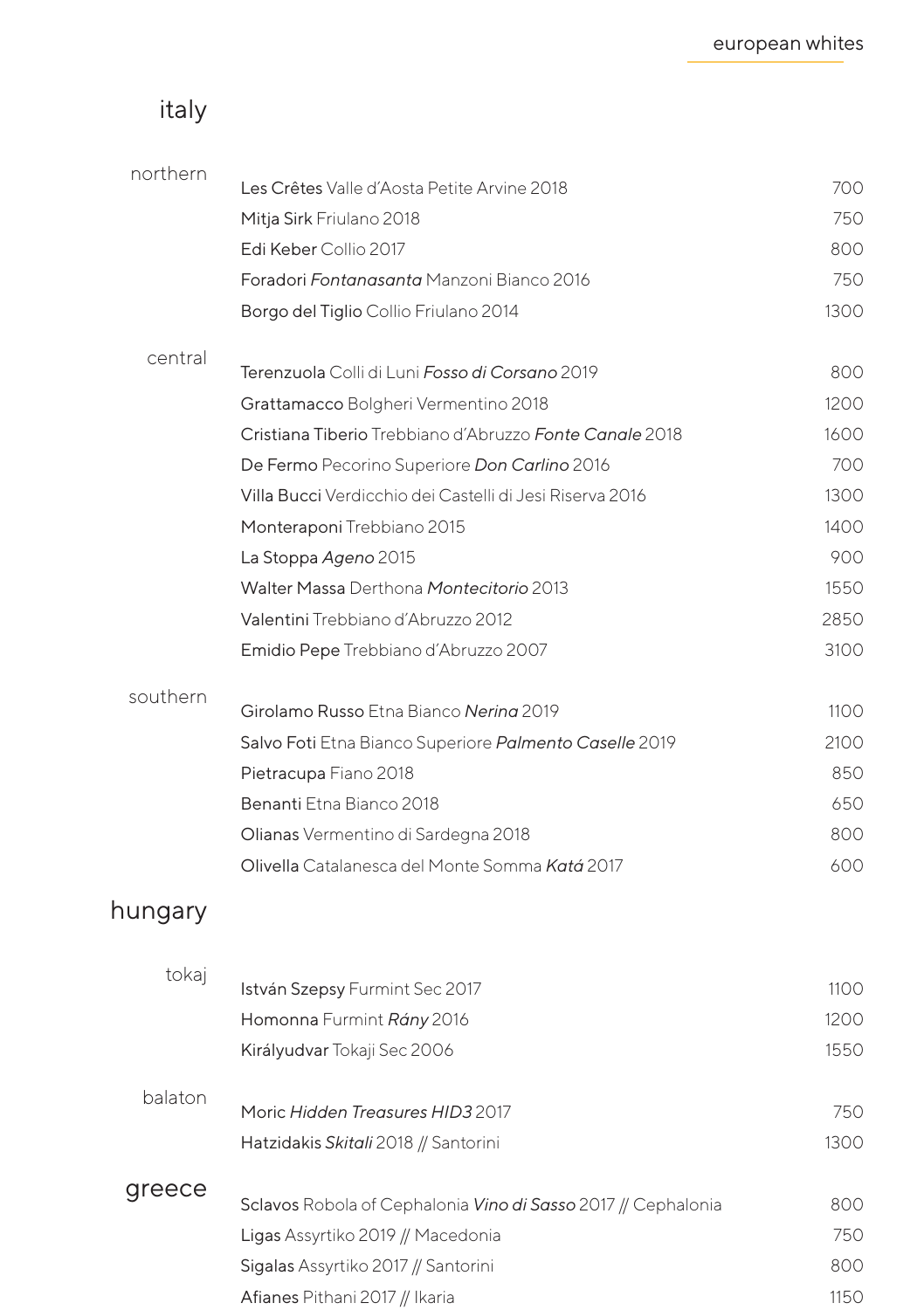## italy

| northern | Les Crêtes Valle d'Aosta Petite Arvine 2018                   | 700  |
|----------|---------------------------------------------------------------|------|
|          | Mitja Sirk Friulano 2018                                      | 750  |
|          | Edi Keber Collio 2017                                         | 800  |
|          | Foradori Fontanasanta Manzoni Bianco 2016                     | 750  |
|          | Borgo del Tiglio Collio Friulano 2014                         | 1300 |
|          |                                                               |      |
| central  | Terenzuola Colli di Luni Fosso di Corsano 2019                | 800  |
|          | Grattamacco Bolgheri Vermentino 2018                          | 1200 |
|          | Cristiana Tiberio Trebbiano d'Abruzzo Fonte Canale 2018       | 1600 |
|          | De Fermo Pecorino Superiore Don Carlino 2016                  | 700  |
|          | Villa Bucci Verdicchio dei Castelli di Jesi Riserva 2016      | 1300 |
|          | Monteraponi Trebbiano 2015                                    | 1400 |
|          | La Stoppa Ageno 2015                                          | 900  |
|          | Walter Massa Derthona Montecitorio 2013                       | 1550 |
|          | Valentini Trebbiano d'Abruzzo 2012                            | 2850 |
|          | Emidio Pepe Trebbiano d'Abruzzo 2007                          | 3100 |
| southern |                                                               |      |
|          | Girolamo Russo Etna Bianco Nering 2019                        | 1100 |
|          | Salvo Foti Etna Bianco Superiore Palmento Caselle 2019        | 2100 |
|          | Pietracupa Fiano 2018                                         | 850  |
|          | Benanti Etna Bianco 2018                                      | 650  |
|          | Olianas Vermentino di Sardegna 2018                           | 800  |
|          | Olivella Catalanesca del Monte Somma Katá 2017                | 600  |
| hungary  |                                                               |      |
| tokaj    |                                                               |      |
|          | István Szepsy Furmint Sec 2017                                | 1100 |
|          | Homonna Furmint Rány 2016                                     | 1200 |
|          | Királyudvar Tokaji Sec 2006                                   | 1550 |
| balaton  | Moric Hidden Treasures HID3 2017                              | 750  |
|          | Hatzidakis Skitali 2018 // Santorini                          | 1300 |
| greece   |                                                               |      |
|          | Sclavos Robola of Cephalonia Vino di Sasso 2017 // Cephalonia | 800  |
|          | Ligas Assyrtiko 2019 // Macedonia                             | 750  |
|          | Sigalas Assyrtiko 2017 // Santorini                           | 800  |
|          | Afianes Pithani 2017 // Ikaria                                | 1150 |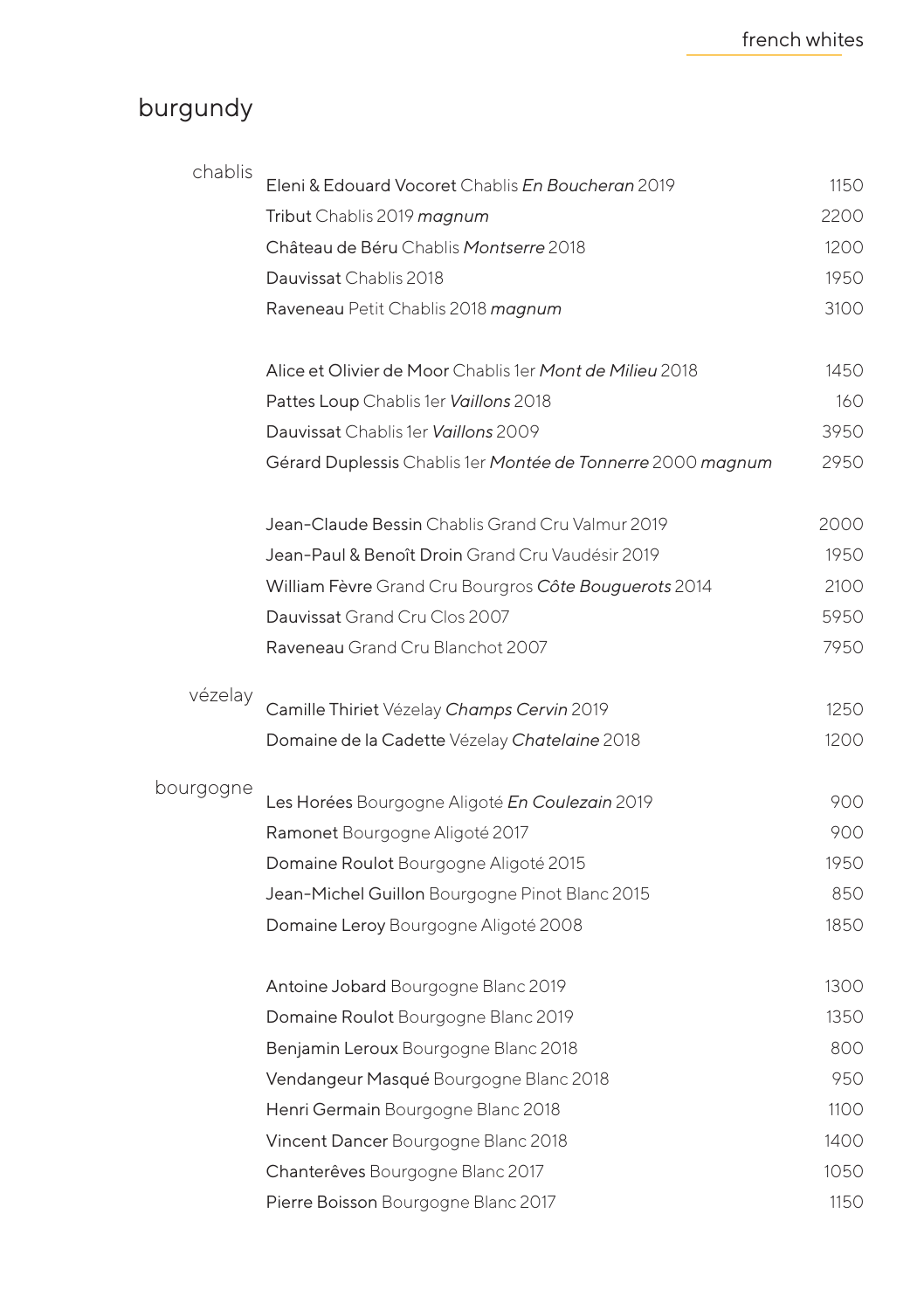# burgundy

| chablis   | Eleni & Edouard Vocoret Chablis En Boucheran 2019           | 1150 |
|-----------|-------------------------------------------------------------|------|
|           | Tribut Chablis 2019 magnum                                  | 2200 |
|           | Château de Béru Chablis Montserre 2018                      | 1200 |
|           | Dauvissat Chablis 2018                                      | 1950 |
|           | Raveneau Petit Chablis 2018 magnum                          | 3100 |
|           | Alice et Olivier de Moor Chablis 1er Mont de Milieu 2018    | 1450 |
|           | Pattes Loup Chablis 1er Vaillons 2018                       | 160  |
|           | Dauvissat Chablis 1er Vaillons 2009                         | 3950 |
|           | Gérard Duplessis Chablis 1er Montée de Tonnerre 2000 magnum | 2950 |
|           | Jean-Claude Bessin Chablis Grand Cru Valmur 2019            | 2000 |
|           | Jean-Paul & Benoît Droin Grand Cru Vaudésir 2019            | 1950 |
|           | William Fèvre Grand Cru Bourgros Côte Bouguerots 2014       | 2100 |
|           | Dauvissat Grand Cru Clos 2007                               | 5950 |
|           | Raveneau Grand Cru Blanchot 2007                            | 7950 |
| vézelay   | Camille Thiriet Vézelay Champs Cervin 2019                  | 1250 |
|           | Domaine de la Cadette Vézelay Chatelaine 2018               | 1200 |
| bourgogne | Les Horées Bourgogne Aligoté En Coulezain 2019              | 900  |
|           | Ramonet Bourgogne Aligoté 2017                              | 900  |
|           | Domaine Roulot Bourgogne Aligoté 2015                       | 1950 |
|           | Jean-Michel Guillon Bourgogne Pinot Blanc 2015              | 850  |
|           | Domaine Leroy Bourgogne Aligoté 2008                        | 1850 |
|           | Antoine Jobard Bourgogne Blanc 2019                         | 1300 |
|           | Domaine Roulot Bourgogne Blanc 2019                         | 1350 |
|           | Benjamin Leroux Bourgogne Blanc 2018                        | 800  |
|           | Vendangeur Masqué Bourgogne Blanc 2018                      | 950  |
|           | Henri Germain Bourgogne Blanc 2018                          | 1100 |
|           | Vincent Dancer Bourgogne Blanc 2018                         | 1400 |
|           | Chanterêves Bourgogne Blanc 2017                            | 1050 |
|           | Pierre Boisson Bourgogne Blanc 2017                         | 1150 |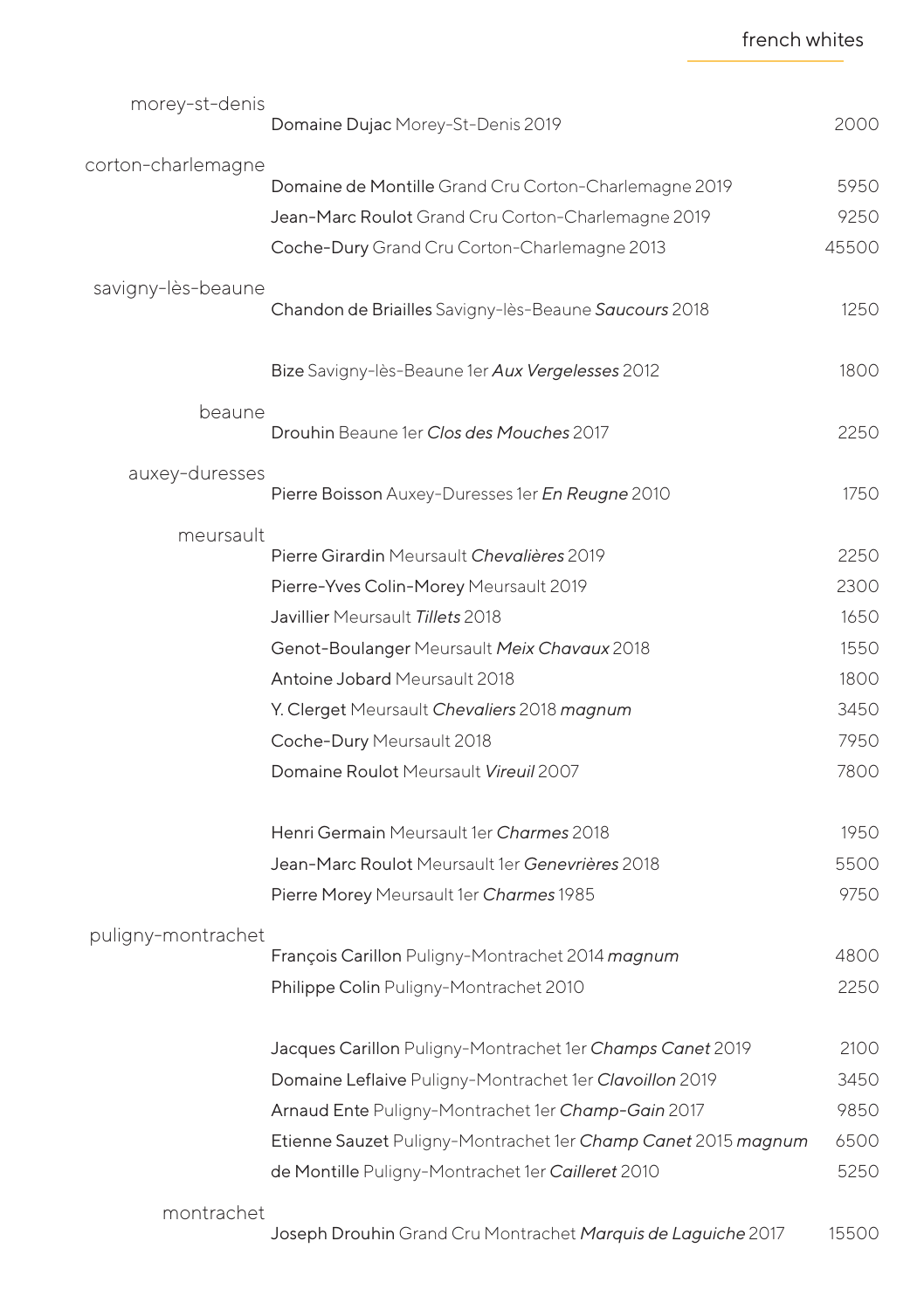|  | french whites |
|--|---------------|
|--|---------------|

| morey-st-denis     |                                                               |       |
|--------------------|---------------------------------------------------------------|-------|
|                    | Domaine Dujac Morey-St-Denis 2019                             | 2000  |
| corton-charlemagne |                                                               |       |
|                    | Domaine de Montille Grand Cru Corton-Charlemagne 2019         | 5950  |
|                    | Jean-Marc Roulot Grand Cru Corton-Charlemagne 2019            | 9250  |
|                    | Coche-Dury Grand Cru Corton-Charlemagne 2013                  | 45500 |
| savigny-lès-beaune | Chandon de Briailles Savigny-lès-Beaune Saucours 2018         | 1250  |
|                    | Bize Savigny-lès-Beaune 1er Aux Vergelesses 2012              | 1800  |
| beaune             |                                                               |       |
|                    | Drouhin Beaune 1er Clos des Mouches 2017                      | 2250  |
| auxey-duresses     | Pierre Boisson Auxey-Duresses 1er En Reugne 2010              | 1750  |
| meursault          |                                                               |       |
|                    | Pierre Girardin Meursault Chevalières 2019                    | 2250  |
|                    | Pierre-Yves Colin-Morey Meursault 2019                        | 2300  |
|                    | Javillier Meursault Tillets 2018                              | 1650  |
|                    | Genot-Boulanger Meursault Meix Chavaux 2018                   | 1550  |
|                    | Antoine Jobard Meursault 2018                                 | 1800  |
|                    | Y. Clerget Meursault Chevaliers 2018 magnum                   | 3450  |
|                    | Coche-Dury Meursault 2018                                     | 7950  |
|                    | Domaine Roulot Meursault Vireuil 2007                         | 7800  |
|                    | Henri Germain Meursault 1er Charmes 2018                      | 1950  |
|                    | Jean-Marc Roulot Meursault 1er Genevrières 2018               | 5500  |
|                    | Pierre Morey Meursault 1er Charmes 1985                       | 9750  |
| puligny-montrachet |                                                               |       |
|                    | François Carillon Puligny-Montrachet 2014 magnum              | 4800  |
|                    | Philippe Colin Puligny-Montrachet 2010                        | 2250  |
|                    | Jacques Carillon Puligny-Montrachet 1er Champs Canet 2019     | 2100  |
|                    | Domaine Leflaive Puligny-Montrachet 1er Clavoillon 2019       | 3450  |
|                    | Arnaud Ente Puligny-Montrachet 1er Champ-Gain 2017            | 9850  |
|                    | Etienne Sauzet Puligny-Montrachet 1er Champ Canet 2015 magnum | 6500  |
|                    | de Montille Puligny-Montrachet 1er Cailleret 2010             | 5250  |
| montrachet         |                                                               |       |
|                    | Joseph Drouhin Grand Cru Montrachet Marquis de Laguiche 2017  | 15500 |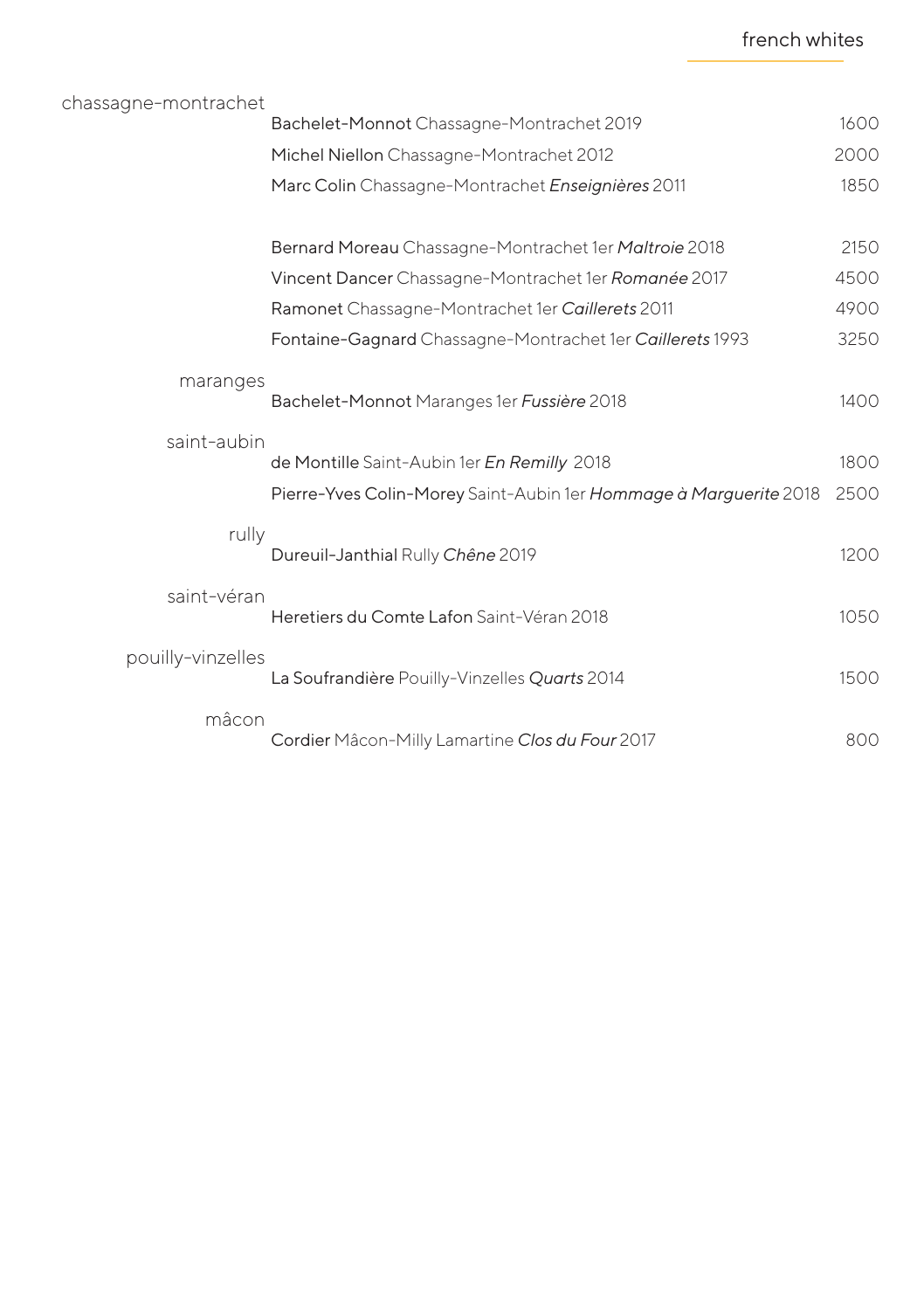| chassagne-montrachet |                                                                   |      |
|----------------------|-------------------------------------------------------------------|------|
|                      | Bachelet-Monnot Chassagne-Montrachet 2019                         | 1600 |
|                      | Michel Niellon Chassagne-Montrachet 2012                          | 2000 |
|                      | Marc Colin Chassagne-Montrachet Enseignières 2011                 | 1850 |
|                      | Bernard Moreau Chassagne-Montrachet 1er Maltroie 2018             | 2150 |
|                      | Vincent Dancer Chassagne-Montrachet 1er Romanée 2017              | 4500 |
|                      | Ramonet Chassagne-Montrachet 1er Caillerets 2011                  | 4900 |
|                      | Fontaine-Gagnard Chassagne-Montrachet 1er Caillerets 1993         | 3250 |
| maranges             | Bachelet-Monnot Maranges 1er Fussière 2018                        | 1400 |
| saint-aubin          | de Montille Saint-Aubin 1er En Remilly 2018                       | 1800 |
|                      | Pierre-Yves Colin-Morey Saint-Aubin 1er Hommage à Marguerite 2018 | 2500 |
| rully                | Dureuil-Janthial Rully Chêne 2019                                 | 1200 |
| saint-véran          | Heretiers du Comte Lafon Saint-Véran 2018                         | 1050 |
| pouilly-vinzelles    | La Soufrandière Pouilly-Vinzelles Quarts 2014                     | 1500 |
| mâcon                | Cordier Mâcon-Milly Lamartine Clos du Four 2017                   | 800  |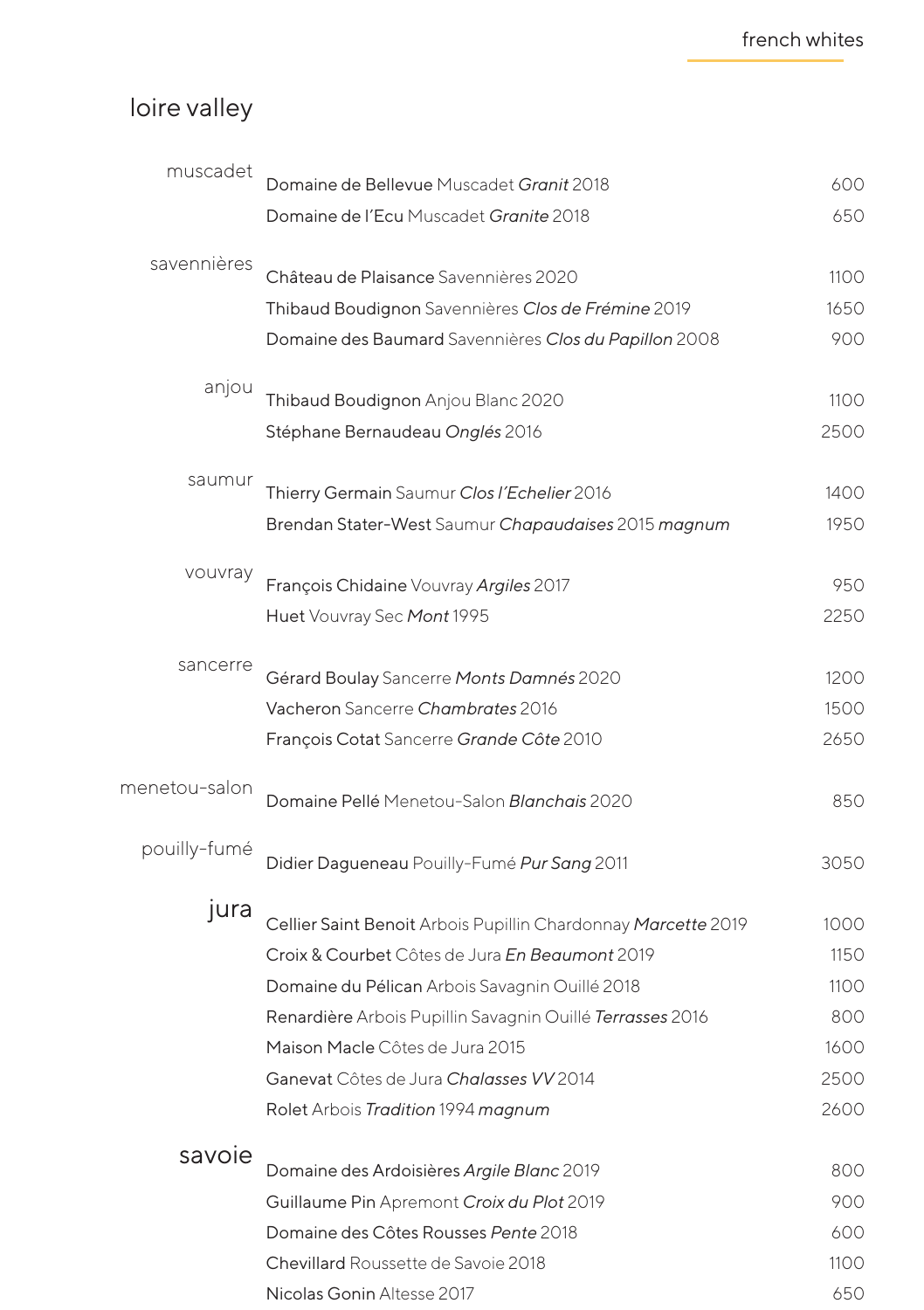# loire valley

| muscadet      | Domaine de Bellevue Muscadet Granit 2018                      | 600  |
|---------------|---------------------------------------------------------------|------|
|               | Domaine de l'Ecu Muscadet Granite 2018                        | 650  |
| savennières   | Château de Plaisance Savennières 2020                         | 1100 |
|               | Thibaud Boudignon Savennières Clos de Frémine 2019            | 1650 |
|               | Domaine des Baumard Savennières Clos du Papillon 2008         | 900  |
| anjou         | Thibaud Boudignon Anjou Blanc 2020                            | 1100 |
|               | Stéphane Bernaudeau Onglés 2016                               | 2500 |
| saumur        | Thierry Germain Saumur Clos l'Echelier 2016                   | 1400 |
|               | Brendan Stater-West Saumur Chapaudaises 2015 magnum           | 1950 |
| vouvray       | François Chidaine Vouvray Argiles 2017                        | 950  |
|               | Huet Vouvray Sec Mont 1995                                    | 2250 |
| sancerre      | Gérard Boulay Sancerre Monts Damnés 2020                      | 1200 |
|               | Vacheron Sancerre Chambrates 2016                             | 1500 |
|               | François Cotat Sancerre Grande Côte 2010                      | 2650 |
| menetou-salon | Domaine Pellé Menetou-Salon Blanchais 2020                    | 850  |
| pouilly-fumé  | Didier Dagueneau Pouilly-Fumé Pur Sang 2011                   | 3050 |
| jura          | Cellier Saint Benoit Arbois Pupillin Chardonnay Marcette 2019 | 1000 |
|               | Croix & Courbet Côtes de Jura En Beaumont 2019                | 1150 |
|               | Domaine du Pélican Arbois Savagnin Ouillé 2018                | 1100 |
|               | Renardière Arbois Pupillin Savagnin Quillé Terrasses 2016     | 800  |
|               | Maison Macle Côtes de Jura 2015                               | 1600 |
|               | Ganevat Côtes de Jura Chalasses VV 2014                       | 2500 |
|               | Rolet Arbois Tradition 1994 magnum                            | 2600 |
| savoie        | Domaine des Ardoisières Argile Blanc 2019                     | 800  |
|               | Guillaume Pin Apremont Croix du Plot 2019                     | 900  |
|               | Domaine des Côtes Rousses Pente 2018                          | 600  |
|               | Chevillard Roussette de Savoie 2018                           | 1100 |
|               | Nicolas Gonin Altesse 2017                                    | 650  |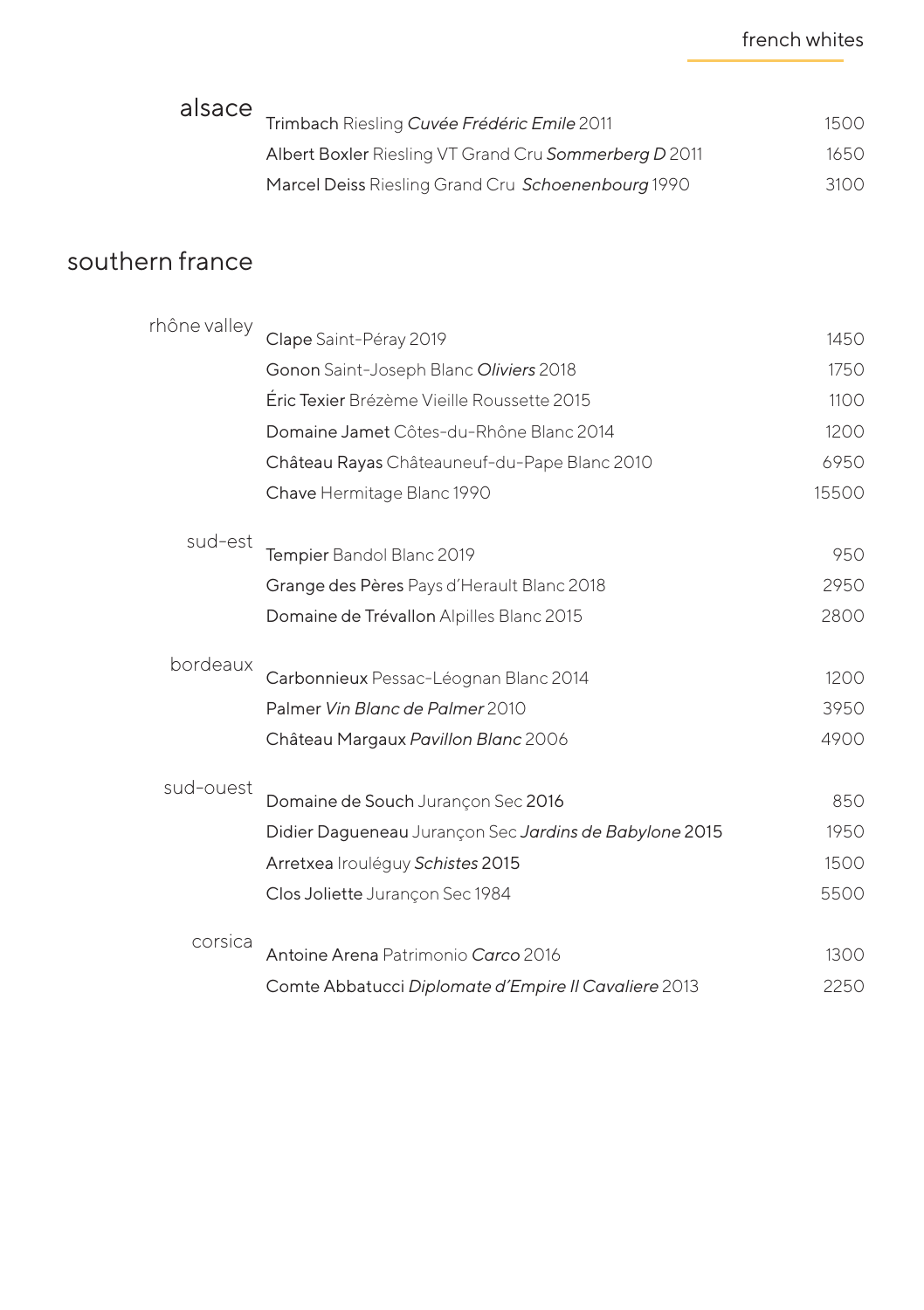#### french whites

| alsace          | Trimbach Riesling Cuvée Frédéric Emile 2011            | 1500  |
|-----------------|--------------------------------------------------------|-------|
|                 | Albert Boxler Riesling VT Grand Cru Sommerberg D 2011  | 1650  |
|                 | Marcel Deiss Riesling Grand Cru Schoenenbourg 1990     | 3100  |
| southern france |                                                        |       |
| rhône valley    | Clape Saint-Péray 2019                                 | 1450  |
|                 | Gonon Saint-Joseph Blanc Oliviers 2018                 | 1750  |
|                 | Éric Texier Brézème Vieille Roussette 2015             | 1100  |
|                 | Domaine Jamet Côtes-du-Rhône Blanc 2014                | 1200  |
|                 | Château Rayas Châteauneuf-du-Pape Blanc 2010           | 6950  |
|                 | Chave Hermitage Blanc 1990                             | 15500 |
| sud-est         |                                                        |       |
|                 | Tempier Bandol Blanc 2019                              | 950   |
|                 | Grange des Pères Pays d'Herault Blanc 2018             | 2950  |
|                 | Domaine de Trévallon Alpilles Blanc 2015               | 2800  |
| bordeaux        | Carbonnieux Pessac-Léognan Blanc 2014                  | 1200  |
|                 | Palmer Vin Blanc de Palmer 2010                        | 3950  |
|                 | Château Margaux Pavillon Blanc 2006                    | 4900  |
| sud-ouest       | Domaine de Souch Jurançon Sec 2016                     | 850   |
|                 |                                                        | 1950  |
|                 | Didier Dagueneau Jurançon Sec Jardins de Babylone 2015 | 1500  |
|                 | Arretxea Irouléguy Schistes 2015                       |       |
|                 | Clos Joliette Jurançon Sec 1984                        | 5500  |
| corsica         | Antoine Arena Patrimonio Carco 2016                    | 1300  |
|                 | Comte Abbatucci Diplomate d'Empire II Cavaliere 2013   | 2250  |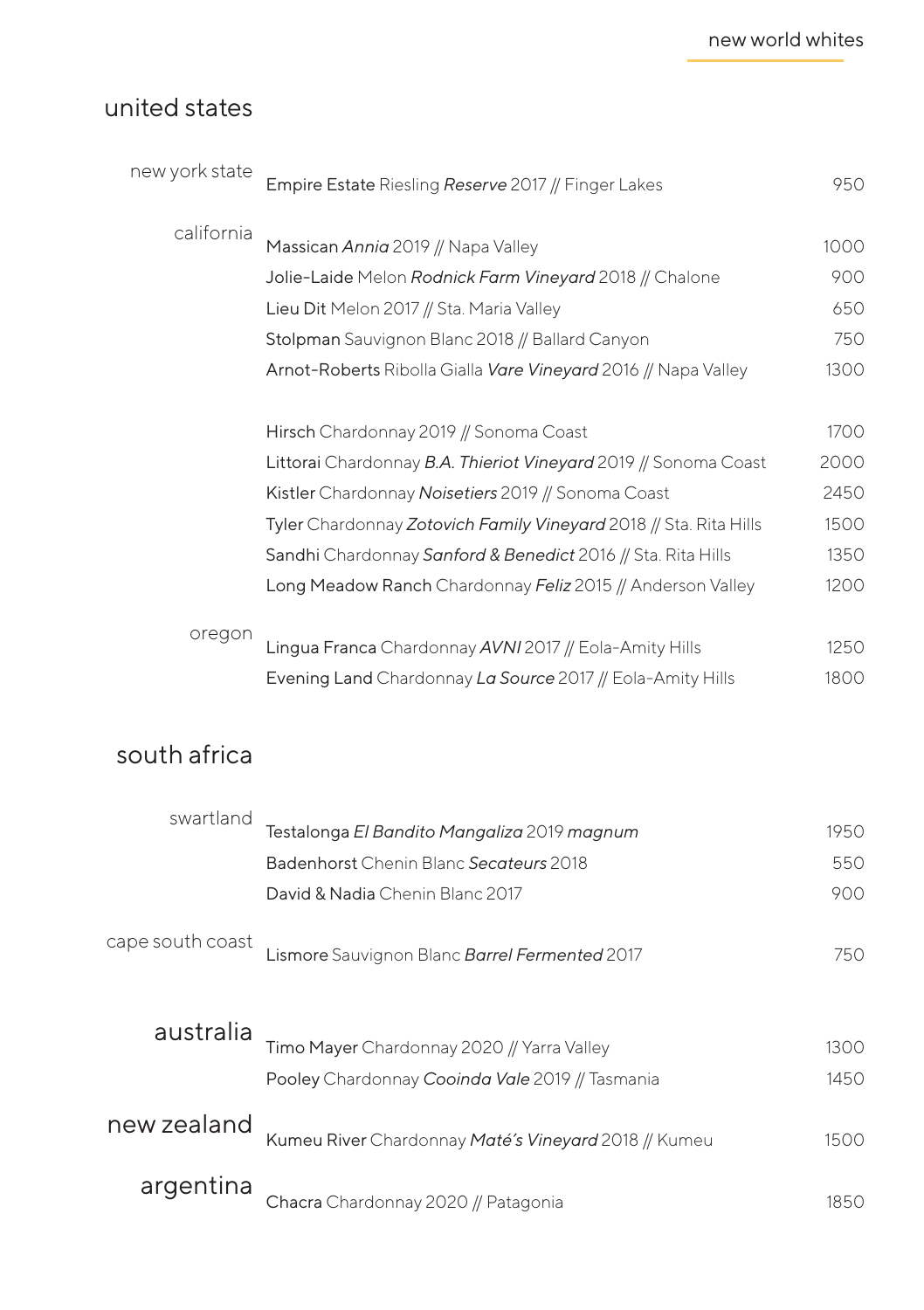## united states

| new york state | Empire Estate Riesling Reserve 2017 // Finger Lakes                                                                                       | 950                |
|----------------|-------------------------------------------------------------------------------------------------------------------------------------------|--------------------|
| california     | Massican Annia 2019 // Napa Valley<br>Jolie-Laide Melon Rodnick Farm Vineyard 2018 // Chalone<br>Lieu Dit Melon 2017 // Sta. Maria Valley | 1000<br>900<br>650 |
|                | Stolpman Sauvignon Blanc 2018 // Ballard Canyon                                                                                           | 750                |
|                | Arnot-Roberts Ribolla Gialla Vare Vineyard 2016 // Napa Valley                                                                            | 1300               |
|                | Hirsch Chardonnay 2019 // Sonoma Coast                                                                                                    | 1700               |
|                | Littorai Chardonnay B.A. Thieriot Vineyard 2019 // Sonoma Coast                                                                           | 2000               |
|                | Kistler Chardonnay Noisetiers 2019 // Sonoma Coast                                                                                        | 2450               |
|                | Tyler Chardonnay Zotovich Family Vineyard 2018 // Sta. Rita Hills                                                                         | 1500               |
|                | Sandhi Chardonnay Sanford & Benedict 2016 // Sta. Rita Hills                                                                              | 1350               |
|                | Long Meadow Ranch Chardonnay Feliz 2015 // Anderson Valley                                                                                | 1200               |
|                |                                                                                                                                           |                    |
| oregon         | Lingua Franca Chardonnay AVNI 2017 // Eola-Amity Hills                                                                                    | 1250               |
|                | Evening Land Chardonnay La Source 2017 // Eola-Amity Hills                                                                                | 1800               |
|                |                                                                                                                                           |                    |

## south africa

| swartland        | Testalonga El Bandito Mangaliza 2019 magnum          | 1950 |
|------------------|------------------------------------------------------|------|
|                  | <b>Badenhorst Chenin Blanc Secateurs 2018</b>        | 550  |
|                  | David & Nadia Chenin Blanc 2017                      | 900  |
| cape south coast | Lismore Sauvignon Blanc Barrel Fermented 2017        | 750  |
| australia        |                                                      |      |
|                  | Timo Mayer Chardonnay 2020 // Yarra Valley           | 1300 |
|                  | Pooley Chardonnay Cooinda Vale 2019 // Tasmania      | 1450 |
| new zealand      | Kumeu River Chardonnay Maté's Vineyard 2018 // Kumeu | 1500 |
| argentina        | Chacra Chardonnay 2020 // Patagonia                  | 1850 |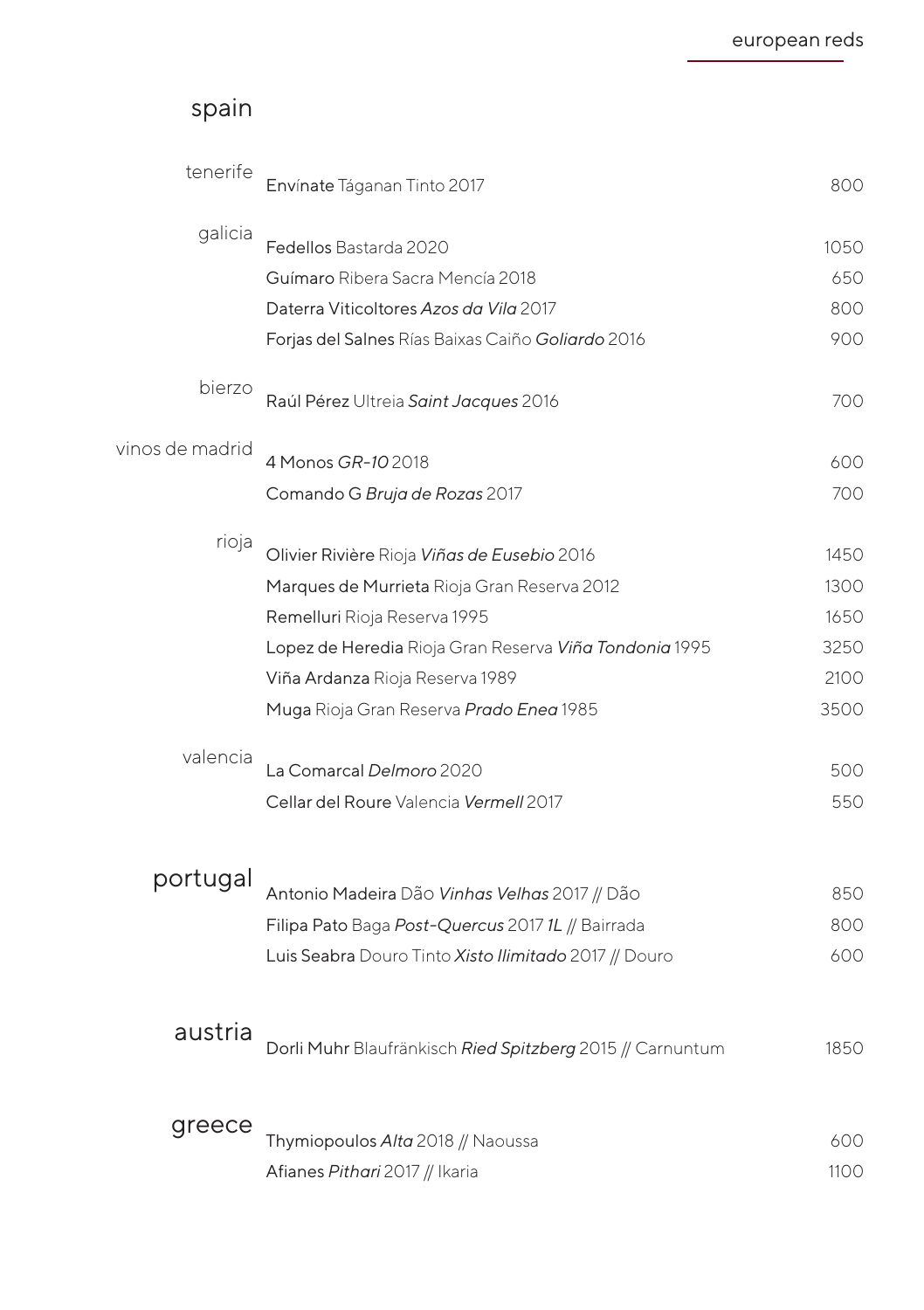## spain

| tenerife        | Envínate Táganan Tinto 2017                               | 800        |
|-----------------|-----------------------------------------------------------|------------|
| galicia         | Fedellos Bastarda 2020                                    | 1050       |
|                 | Guímaro Ribera Sacra Mencía 2018                          | 650        |
|                 | Daterra Viticoltores Azos da Vila 2017                    | 800        |
|                 | Forjas del Salnes Rías Baixas Caiño Goliardo 2016         | 900        |
| bierzo          | Raúl Pérez Ultreia Saint Jacques 2016                     | 700        |
| vinos de madrid | 4 Monos GR-10 2018                                        | 600        |
|                 | Comando G Bruja de Rozas 2017                             | 700        |
| rioja           | Olivier Rivière Rioja Viñas de Eusebio 2016               | 1450       |
|                 | Marques de Murrieta Rioja Gran Reserva 2012               | 1300       |
|                 | Remelluri Rioja Reserva 1995                              | 1650       |
|                 | Lopez de Heredia Rioja Gran Reserva Viña Tondonia 1995    | 3250       |
|                 | Viña Ardanza Rioja Reserva 1989                           | 2100       |
|                 | Muga Rioja Gran Reserva Prado Enea 1985                   | 3500       |
| valencia        | La Comarcal Delmoro 2020                                  | 500        |
|                 | Cellar del Roure Valencia Vermell 2017                    | 550        |
|                 |                                                           |            |
| portugal        |                                                           |            |
|                 | Antonio Madeira Dão Vinhas Velhas 2017 // Dão             | 850        |
|                 | Filipa Pato Baga Post-Quercus 2017 1L // Bairrada         | 800<br>600 |
|                 | Luis Seabra Douro Tinto Xisto Ilimitado 2017 // Douro     |            |
| austria         |                                                           |            |
|                 | Dorli Muhr Blaufränkisch Ried Spitzberg 2015 // Carnuntum | 1850       |
| greece          |                                                           |            |
|                 | Thymiopoulos Alta 2018 // Naoussa                         | 600        |
|                 | Afianes Pithari 2017 // Ikaria                            | 1100       |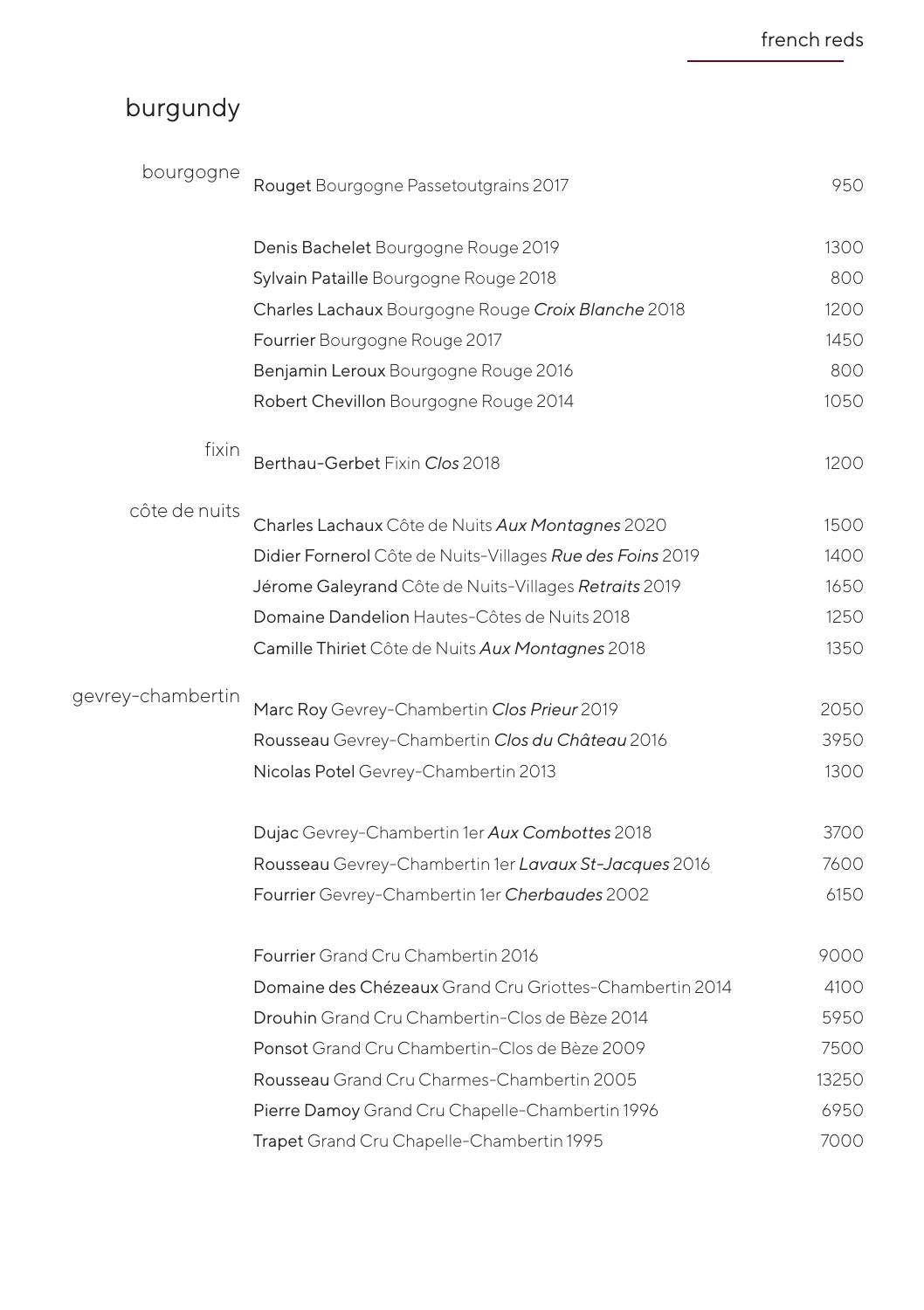# burgundy

| bourgogne         | Rouget Bourgogne Passetoutgrains 2017                     | 950   |
|-------------------|-----------------------------------------------------------|-------|
|                   | Denis Bachelet Bourgogne Rouge 2019                       | 1300  |
|                   | Sylvain Pataille Bourgogne Rouge 2018                     | 800   |
|                   | Charles Lachaux Bourgogne Rouge Croix Blanche 2018        | 1200  |
|                   | Fourrier Bourgogne Rouge 2017                             | 1450  |
|                   | Benjamin Leroux Bourgogne Rouge 2016                      | 800   |
|                   | Robert Chevillon Bourgogne Rouge 2014                     | 1050  |
| fixin             | Berthau-Gerbet Fixin Clos 2018                            | 1200  |
| côte de nuits     | Charles Lachaux Côte de Nuits Aux Montagnes 2020          | 1500  |
|                   | Didier Fornerol Côte de Nuits-Villages Rue des Foins 2019 | 1400  |
|                   | Jérome Galeyrand Côte de Nuits-Villages Retraits 2019     | 1650  |
|                   | Domaine Dandelion Hautes-Côtes de Nuits 2018              | 1250  |
|                   | Camille Thiriet Côte de Nuits Aux Montagnes 2018          | 1350  |
| gevrey-chambertin | Marc Roy Gevrey-Chambertin Clos Prieur 2019               | 2050  |
|                   | Rousseau Gevrey-Chambertin Clos du Château 2016           | 3950  |
|                   | Nicolas Potel Gevrey-Chambertin 2013                      | 1300  |
|                   | Dujac Gevrey-Chambertin 1er Aux Combottes 2018            | 3700  |
|                   | Rousseau Gevrey-Chambertin 1er Lavaux St-Jacques 2016     | 7600  |
|                   | Fourrier Gevrey-Chambertin 1er Cherbaudes 2002            | 6150  |
|                   | Fourrier Grand Cru Chambertin 2016                        | 9000  |
|                   | Domaine des Chézeaux Grand Cru Griottes-Chambertin 2014   | 4100  |
|                   | Drouhin Grand Cru Chambertin-Clos de Bèze 2014            | 5950  |
|                   | Ponsot Grand Cru Chambertin-Clos de Bèze 2009             | 7500  |
|                   | Rousseau Grand Cru Charmes-Chambertin 2005                | 13250 |
|                   | Pierre Damoy Grand Cru Chapelle-Chambertin 1996           | 6950  |
|                   | Trapet Grand Cru Chapelle-Chambertin 1995                 | 7000  |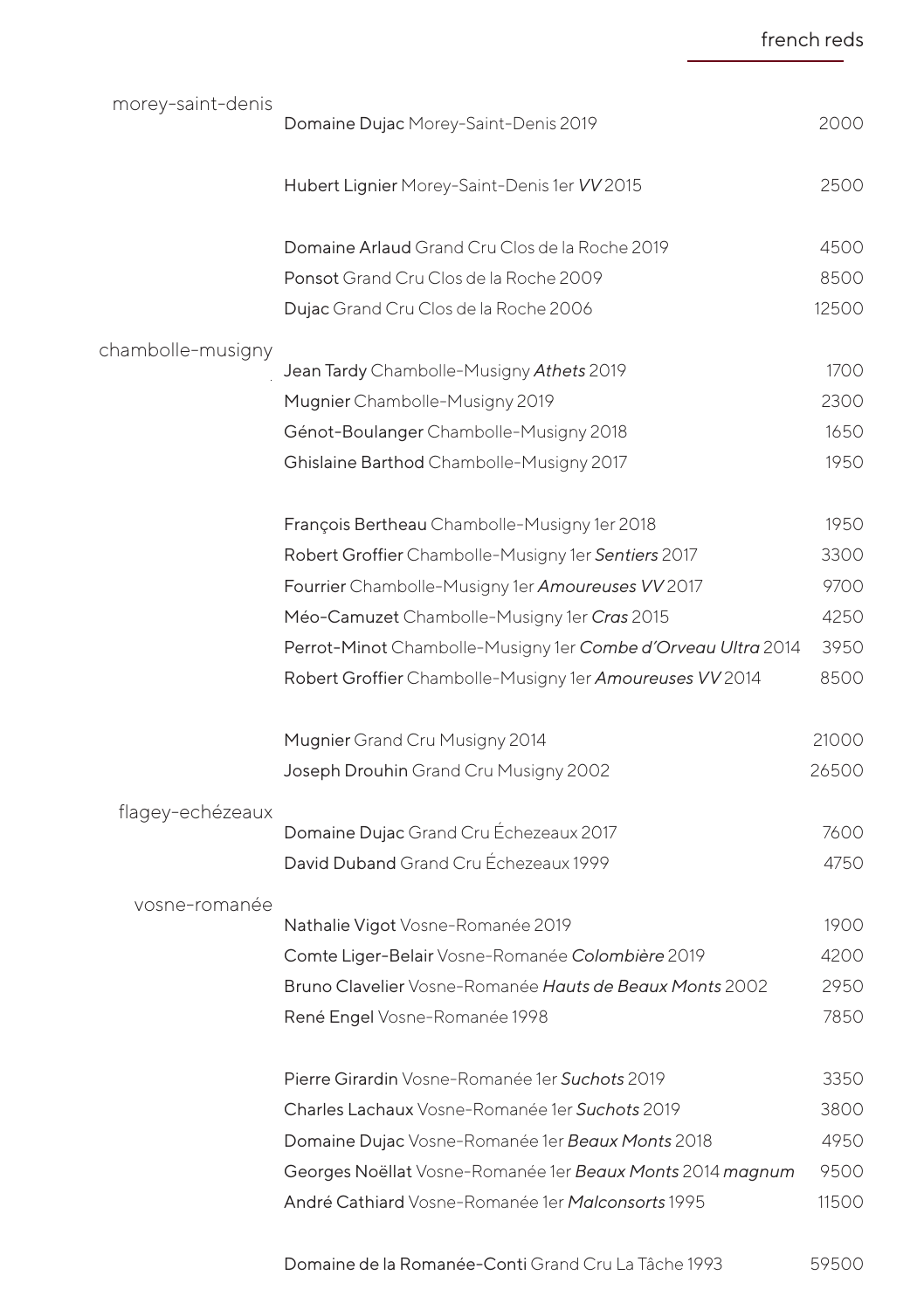morey-saint-denis chambolle-musigny flagey-echézeaux vosne-romanée Domaine Dujac Morey-Saint-Denis 2019 Hubert Lignier Morey-Saint-Denis 1er *VV* 2015 Domaine Arlaud Grand Cru Clos de la Roche 2019 Ponsot Grand Cru Clos de la Roche 2009 Dujac Grand Cru Clos de la Roche 2006 Jean Tardy Chambolle-Musigny *Athets* 2019 Mugnier Chambolle-Musigny 2019 Génot-Boulanger Chambolle-Musigny 2018 Ghislaine Barthod Chambolle-Musigny 2017 François Bertheau Chambolle-Musigny 1er 2018 Robert Groffier Chambolle-Musigny 1er *Sentiers* 2017 Fourrier Chambolle-Musigny 1er *Amoureuses VV* 2017 Méo-Camuzet Chambolle-Musigny 1er *Cras* 2015 Perrot-Minot Chambolle-Musigny 1er *Combe d'Orveau Ultra* 2014 Robert Groffier Chambolle-Musigny 1er *Amoureuses VV* 2014 Mugnier Grand Cru Musigny 2014 Joseph Drouhin Grand Cru Musigny 2002 Domaine Dujac Grand Cru Échezeaux 2017 David Duband Grand Cru Échezeaux 1999 Nathalie Vigot Vosne-Romanée 2019 Comte Liger-Belair Vosne-Romanée *Colombière* 2019 Bruno Clavelier Vosne-Romanée *Hauts de Beaux Monts* 2002 René Engel Vosne-Romanée 1998 Pierre Girardin Vosne-Romanée 1er *Suchots* 2019 Charles Lachaux Vosne-Romanée 1er *Suchots* 2019 Domaine Dujac Vosne-Romanée 1er *Beaux Monts* 2018 Georges Noëllat Vosne-Romanée 1er *Beaux Monts* 2014 *magnum* André Cathiard Vosne-Romanée 1er *Malconsorts* 1995 2000 2500 4500 8500 12500 1700 2300 1650 1950 1950 3300 9700 4250 3950 8500  $21000$ 26500 7600 4750 1900 4200 2950 7850 3350 3800 4950 9500 11500

french reds

Domaine de la Romanée-Conti Grand Cru La Tâche 1993 59500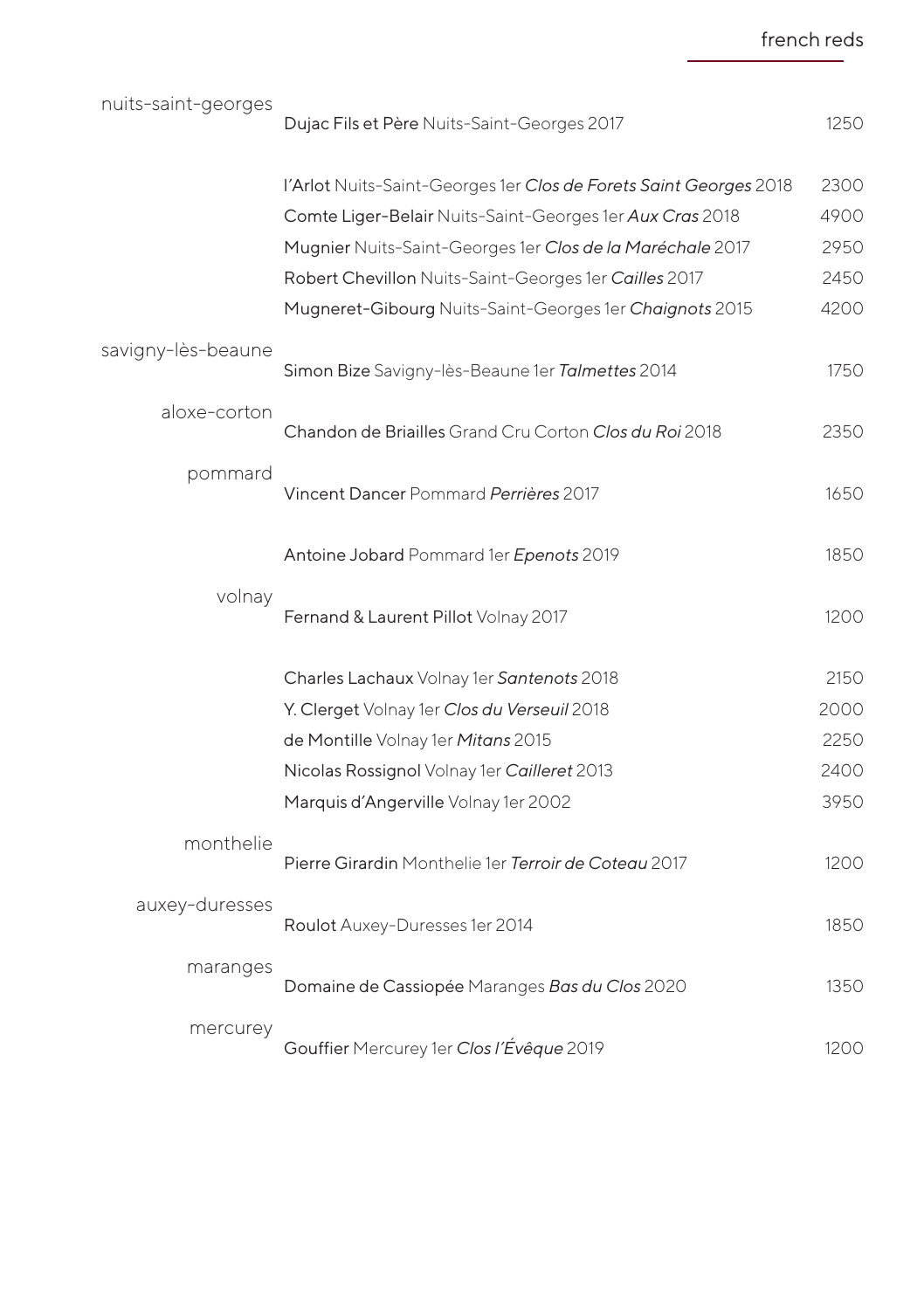| nuits-saint-georges | Dujac Fils et Père Nuits-Saint-Georges 2017                       | 1250 |
|---------------------|-------------------------------------------------------------------|------|
|                     | l'Arlot Nuits-Saint-Georges 1er Clos de Forets Saint Georges 2018 | 2300 |
|                     | Comte Liger-Belair Nuits-Saint-Georges 1er Aux Cras 2018          | 4900 |
|                     | Mugnier Nuits-Saint-Georges 1er Clos de la Maréchale 2017         | 2950 |
|                     | Robert Chevillon Nuits-Saint-Georges 1er Cailles 2017             | 2450 |
|                     | Mugneret-Gibourg Nuits-Saint-Georges 1er Chaignots 2015           | 4200 |
| savigny-lès-beaune  | Simon Bize Savigny-lès-Beaune 1er Talmettes 2014                  | 1750 |
| aloxe-corton        | Chandon de Briailles Grand Cru Corton Clos du Roi 2018            | 2350 |
| pommard             | Vincent Dancer Pommard Perrières 2017                             | 1650 |
|                     | Antoine Jobard Pommard 1er Epenots 2019                           | 1850 |
| volnay              | Fernand & Laurent Pillot Volnay 2017                              | 1200 |
|                     | Charles Lachaux Volnay 1er Santenots 2018                         | 2150 |
|                     | Y. Clerget Volnay 1er Clos du Verseuil 2018                       | 2000 |
|                     | de Montille Volnay 1er Mitans 2015                                | 2250 |
|                     | Nicolas Rossignol Volnay 1er Cailleret 2013                       | 2400 |
|                     | Marquis d'Angerville Volnay 1er 2002                              | 3950 |
| monthelie           | Pierre Girardin Monthelie 1er Terroir de Coteau 2017              | 1200 |
| auxey-duresses      | Roulot Auxey-Duresses 1er 2014                                    | 1850 |
| maranges            | Domaine de Cassiopée Maranges Bas du Clos 2020                    | 1350 |
| mercurey            | Gouffier Mercurey 1er Clos l'Évêque 2019                          | 1200 |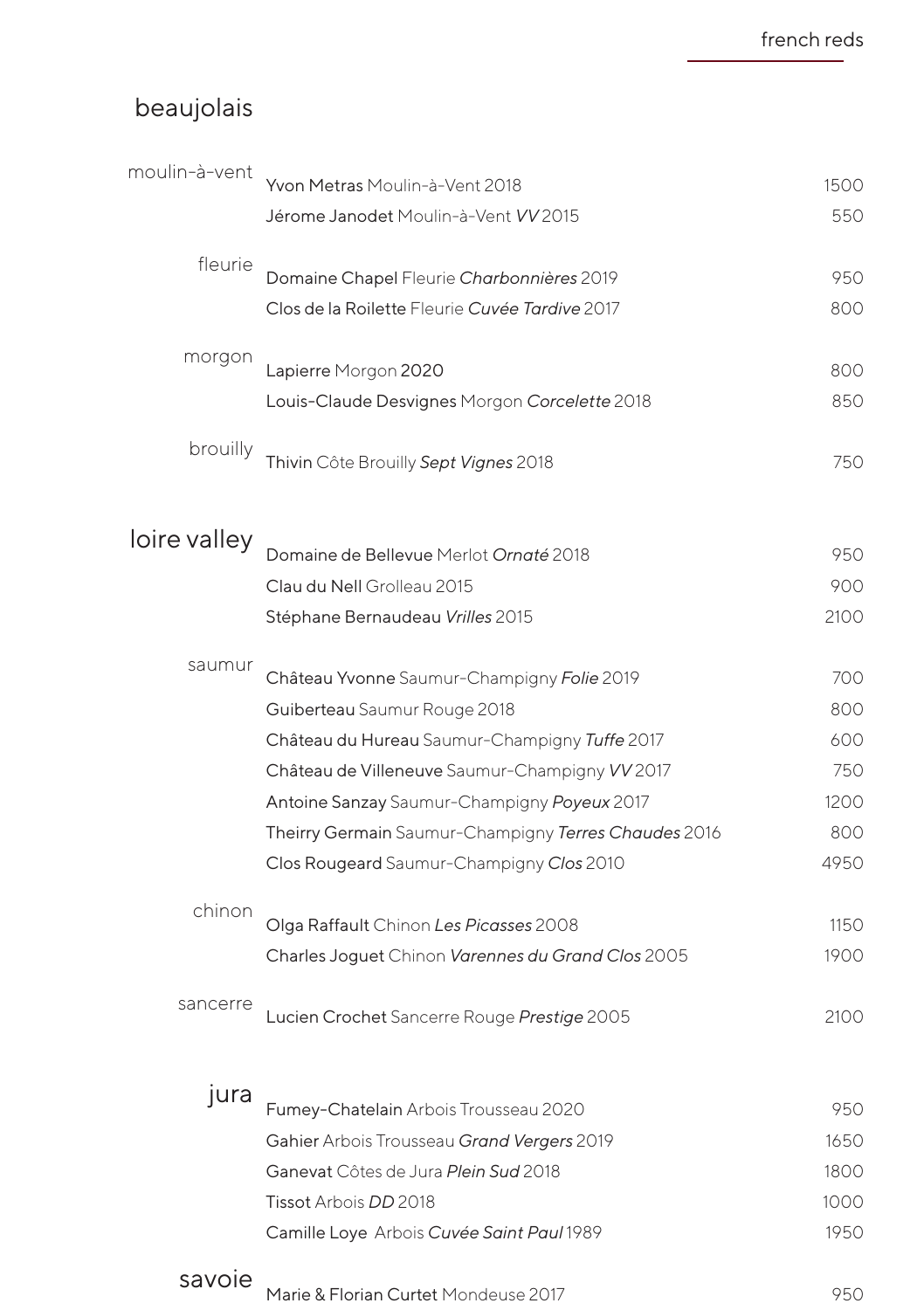# beaujolais

| moulin-à-vent | Yvon Metras Moulin-à-Vent 2018                       | 1500 |
|---------------|------------------------------------------------------|------|
|               | Jérome Janodet Moulin-à-Vent VV 2015                 | 550  |
| fleurie       | Domaine Chapel Fleurie Charbonnières 2019            | 950  |
|               | Clos de la Roilette Fleurie Cuvée Tardive 2017       | 800  |
| morgon        | Lapierre Morgon 2020                                 | 800  |
|               | Louis-Claude Desvignes Morgon Corcelette 2018        | 850  |
| brouilly      | Thivin Côte Brouilly Sept Vignes 2018                | 750  |
| loire valley  |                                                      |      |
|               | Domaine de Bellevue Merlot Ornaté 2018               | 950  |
|               | Clau du Nell Grolleau 2015                           | 900  |
|               | Stéphane Bernaudeau Vrilles 2015                     | 2100 |
| saumur        | Château Yvonne Saumur-Champigny Folie 2019           | 700  |
|               | Guiberteau Saumur Rouge 2018                         | 800  |
|               | Château du Hureau Saumur-Champigny Tuffe 2017        | 600  |
|               | Château de Villeneuve Saumur-Champigny VV 2017       | 750  |
|               | Antoine Sanzay Saumur-Champigny Poyeux 2017          | 1200 |
|               | Theirry Germain Saumur-Champigny Terres Chaudes 2016 | 800  |
|               | Clos Rougeard Saumur-Champigny Clos 2010             | 4950 |
| chinon        | Olga Raffault Chinon Les Picasses 2008               | 1150 |
|               | Charles Joguet Chinon Varennes du Grand Clos 2005    | 1900 |
| sancerre      | Lucien Crochet Sancerre Rouge Prestige 2005          | 2100 |
| jura          | Fumey-Chatelain Arbois Trousseau 2020                | 950  |
|               | Gahier Arbois Trousseau Grand Vergers 2019           | 1650 |
|               | Ganevat Côtes de Jura Plein Sud 2018                 | 1800 |
|               | Tissot Arbois DD 2018                                | 1000 |
|               | Camille Loye Arbois Cuvée Saint Paul 1989            | 1950 |
| savoie        |                                                      |      |
|               | Marie & Florian Curtet Mondeuse 2017                 | 950  |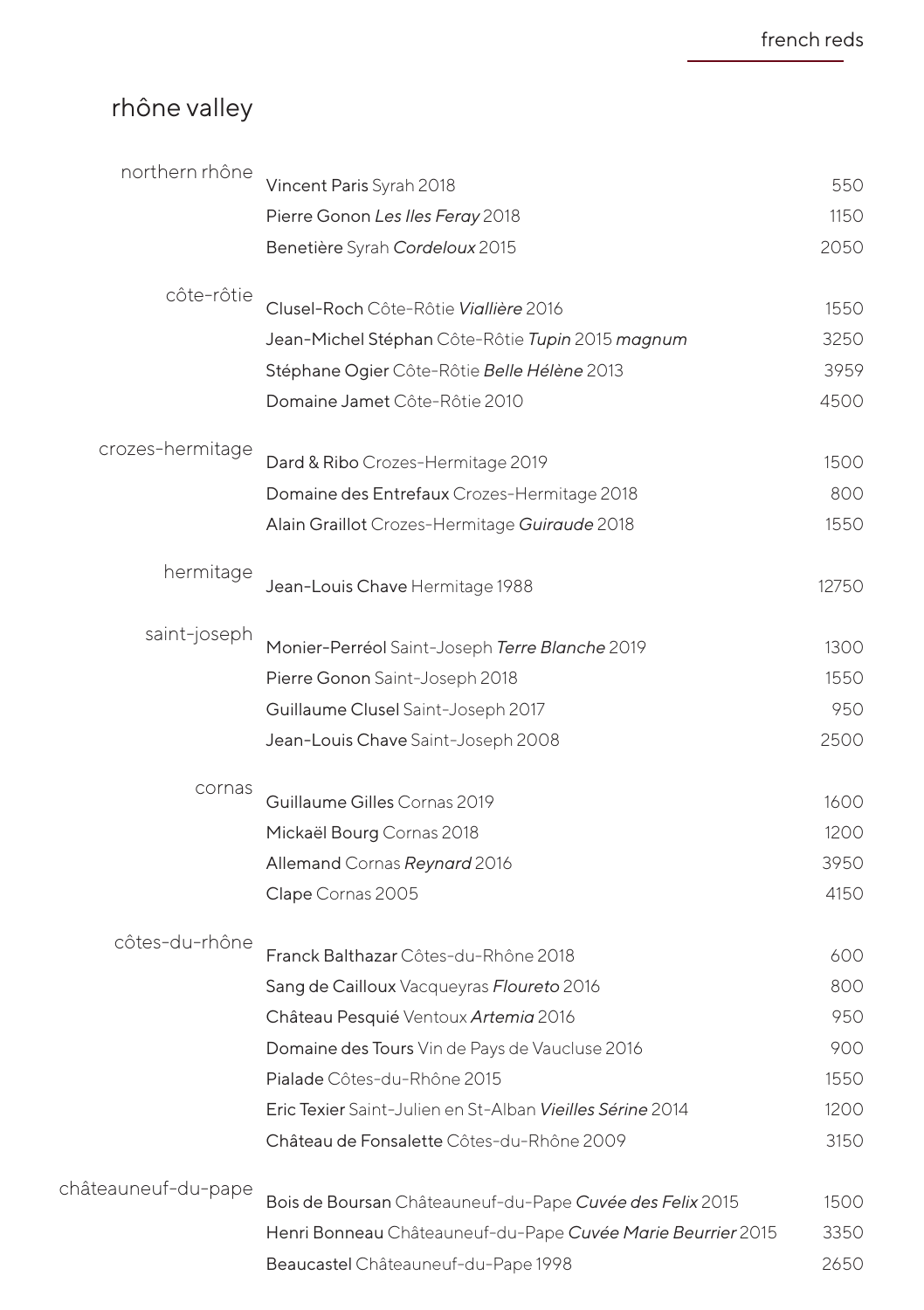# rhône valley

| northern rhône      | Vincent Paris Syrah 2018                                    | 550   |
|---------------------|-------------------------------------------------------------|-------|
|                     | Pierre Gonon Les Iles Feray 2018                            | 1150  |
|                     | Benetière Syrah Cordeloux 2015                              | 2050  |
|                     |                                                             |       |
| côte-rôtie          | Clusel-Roch Côte-Rôtie Viallière 2016                       | 1550  |
|                     | Jean-Michel Stéphan Côte-Rôtie Tupin 2015 magnum            | 3250  |
|                     | Stéphane Ogier Côte-Rôtie Belle Hélène 2013                 | 3959  |
|                     | Domaine Jamet Côte-Rôtie 2010                               | 4500  |
|                     |                                                             |       |
| crozes-hermitage    | Dard & Ribo Crozes-Hermitage 2019                           | 1500  |
|                     | Domaine des Entrefaux Crozes-Hermitage 2018                 | 800   |
|                     | Alain Graillot Crozes-Hermitage Guiraude 2018               | 1550  |
|                     |                                                             |       |
| hermitage           | Jean-Louis Chave Hermitage 1988                             | 12750 |
|                     |                                                             |       |
| saint-joseph        | Monier-Perréol Saint-Joseph Terre Blanche 2019              | 1300  |
|                     | Pierre Gonon Saint-Joseph 2018                              | 1550  |
|                     | Guillaume Clusel Saint-Joseph 2017                          | 950   |
|                     | Jean-Louis Chave Saint-Joseph 2008                          | 2500  |
| cornas              |                                                             |       |
|                     | Guillaume Gilles Cornas 2019                                | 1600  |
|                     | Mickaël Bourg Cornas 2018                                   | 1200  |
|                     | Allemand Cornas Reynard 2016                                | 3950  |
|                     | Clape Cornas 2005                                           | 4150  |
| côtes-du-rhône      |                                                             |       |
|                     | Franck Balthazar Côtes-du-Rhône 2018                        | 600   |
|                     | Sang de Cailloux Vacqueyras Floureto 2016                   | 800   |
|                     | Château Pesquié Ventoux Artemia 2016                        | 950   |
|                     | Domaine des Tours Vin de Pays de Vaucluse 2016              | 900   |
|                     | Pialade Côtes-du-Rhône 2015                                 | 1550  |
|                     | Eric Texier Saint-Julien en St-Alban Vieilles Sérine 2014   | 1200  |
|                     | Château de Fonsalette Côtes-du-Rhône 2009                   | 3150  |
| châteauneuf-du-pape |                                                             |       |
|                     | Bois de Boursan Châteauneuf-du-Pape Cuvée des Felix 2015    | 1500  |
|                     | Henri Bonneau Châteauneuf-du-Pape Cuvée Marie Beurrier 2015 | 3350  |
|                     | Beaucastel Châteauneuf-du-Pape 1998                         | 2650  |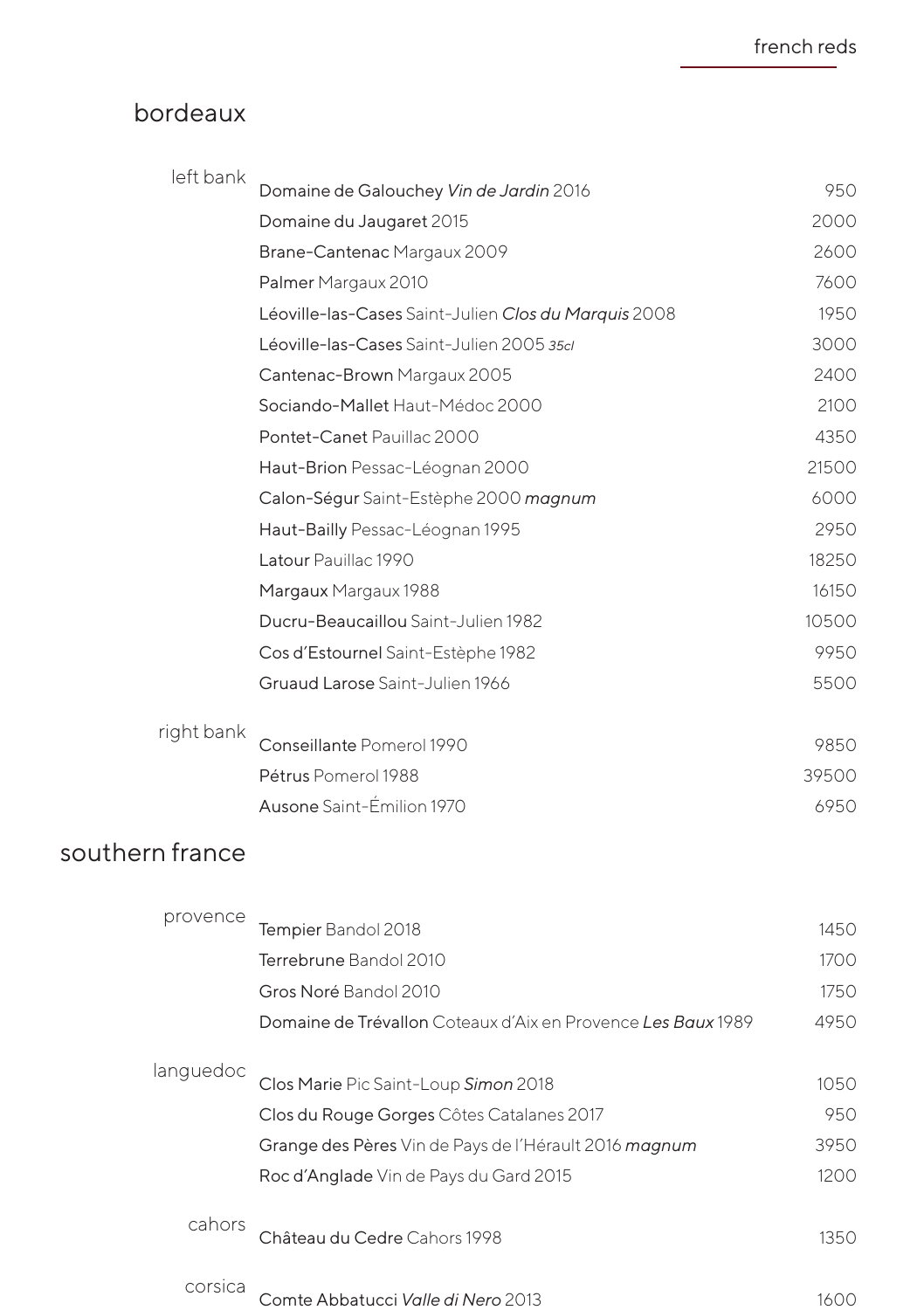## bordeaux

| left bank  | Domaine de Galouchey Vin de Jardin 2016              | 950   |
|------------|------------------------------------------------------|-------|
|            | Domaine du Jaugaret 2015                             | 2000  |
|            | Brane-Cantenac Margaux 2009                          | 2600  |
|            | Palmer Margaux 2010                                  | 7600  |
|            | Léoville-las-Cases Saint-Julien Clos du Marquis 2008 | 1950  |
|            | Léoville-las-Cases Saint-Julien 2005 35cl            | 3000  |
|            | Cantenac-Brown Margaux 2005                          | 2400  |
|            | Sociando-Mallet Haut-Médoc 2000                      | 2100  |
|            | Pontet-Canet Pauillac 2000                           | 4350  |
|            | Haut-Brion Pessac-Léognan 2000                       | 21500 |
|            | Calon-Ségur Saint-Estèphe 2000 magnum                | 6000  |
|            | Haut-Bailly Pessac-Léognan 1995                      | 2950  |
|            | Latour Pauillac 1990                                 | 18250 |
|            | Margaux Margaux 1988                                 | 16150 |
|            | Ducru-Beaucaillou Saint-Julien 1982                  | 10500 |
|            | Cos d'Estournel Saint-Estèphe 1982                   | 9950  |
|            | Gruaud Larose Saint-Julien 1966                      | 5500  |
|            |                                                      |       |
| right bank | Conseillante Pomerol 1990                            | 9850  |
|            | Pétrus Pomerol 1988                                  | 39500 |
|            | Ausone Saint-Émilion 1970                            | 6950  |
|            |                                                      |       |

## southern france

| provence  | Tempier Bandol 2018                                          | 1450 |
|-----------|--------------------------------------------------------------|------|
|           | Terrebrune Bandol 2010                                       | 1700 |
|           | Gros Noré Bandol 2010                                        | 1750 |
|           | Domaine de Trévallon Coteaux d'Aix en Provence Les Baux 1989 | 4950 |
| languedoc |                                                              |      |
|           | Clos Marie Pic Saint-Loup Simon 2018                         | 1050 |
|           | Clos du Rouge Gorges Côtes Catalanes 2017                    | 950  |
|           | Grange des Pères Vin de Pays de l'Hérault 2016 magnum        | 3950 |
|           | Roc d'Anglade Vin de Pays du Gard 2015                       | 1200 |
| cahors    |                                                              |      |
|           | Château du Cedre Cahors 1998                                 | 1350 |
| corsica   |                                                              |      |
|           | Comte Abbatucci <i>Valle di Nero</i> 2013                    | 1600 |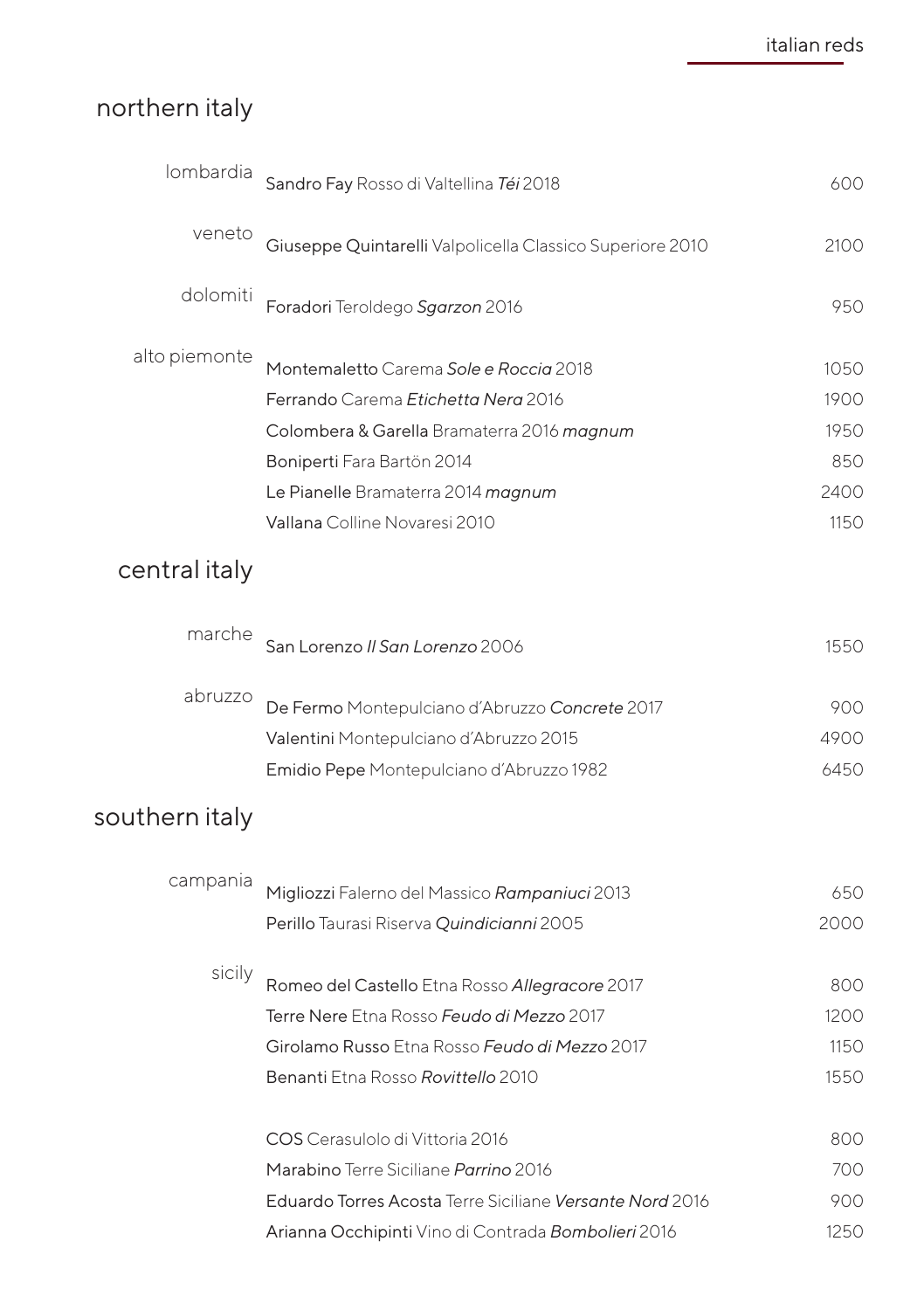# northern italy

| lombardia      | Sandro Fay Rosso di Valtellina Téi 2018                   | 600  |
|----------------|-----------------------------------------------------------|------|
| veneto         | Giuseppe Quintarelli Valpolicella Classico Superiore 2010 | 2100 |
| dolomiti       | Foradori Teroldego Sgarzon 2016                           | 950  |
| alto piemonte  | Montemaletto Carema Sole e Roccia 2018                    | 1050 |
|                | Ferrando Carema Etichetta Nera 2016                       | 1900 |
|                | Colombera & Garella Bramaterra 2016 magnum                | 1950 |
|                | Boniperti Fara Bartön 2014                                | 850  |
|                | Le Pianelle Bramaterra 2014 magnum                        | 2400 |
|                | Vallana Colline Novaresi 2010                             | 1150 |
| central italy  |                                                           |      |
| marche         | San Lorenzo II San Lorenzo 2006                           | 1550 |
|                |                                                           |      |
| abruzzo        | De Fermo Montepulciano d'Abruzzo Concrete 2017            | 900  |
|                | Valentini Montepulciano d'Abruzzo 2015                    | 4900 |
|                | Emidio Pepe Montepulciano d'Abruzzo 1982                  | 6450 |
| southern italy |                                                           |      |
| campania       |                                                           | 650  |
|                | Migliozzi Falerno del Massico Rampaniuci 2013             | 2000 |
|                | Perillo Taurasi Riserva Quindicianni 2005                 |      |
| sicily         | Romeo del Castello Etna Rosso Allegracore 2017            | 800  |
|                | Terre Nere Etna Rosso Feudo di Mezzo 2017                 | 1200 |
|                | Girolamo Russo Etna Rosso Feudo di Mezzo 2017             | 1150 |
|                | Benanti Etna Rosso Rovittello 2010                        | 1550 |
|                | COS Cerasulolo di Vittoria 2016                           | 800  |
|                | Marabino Terre Siciliane Parrino 2016                     | 700  |
|                | Eduardo Torres Acosta Terre Siciliane Versante Nord 2016  | 900  |
|                | Arianna Occhipinti Vino di Contrada Bombolieri 2016       | 1250 |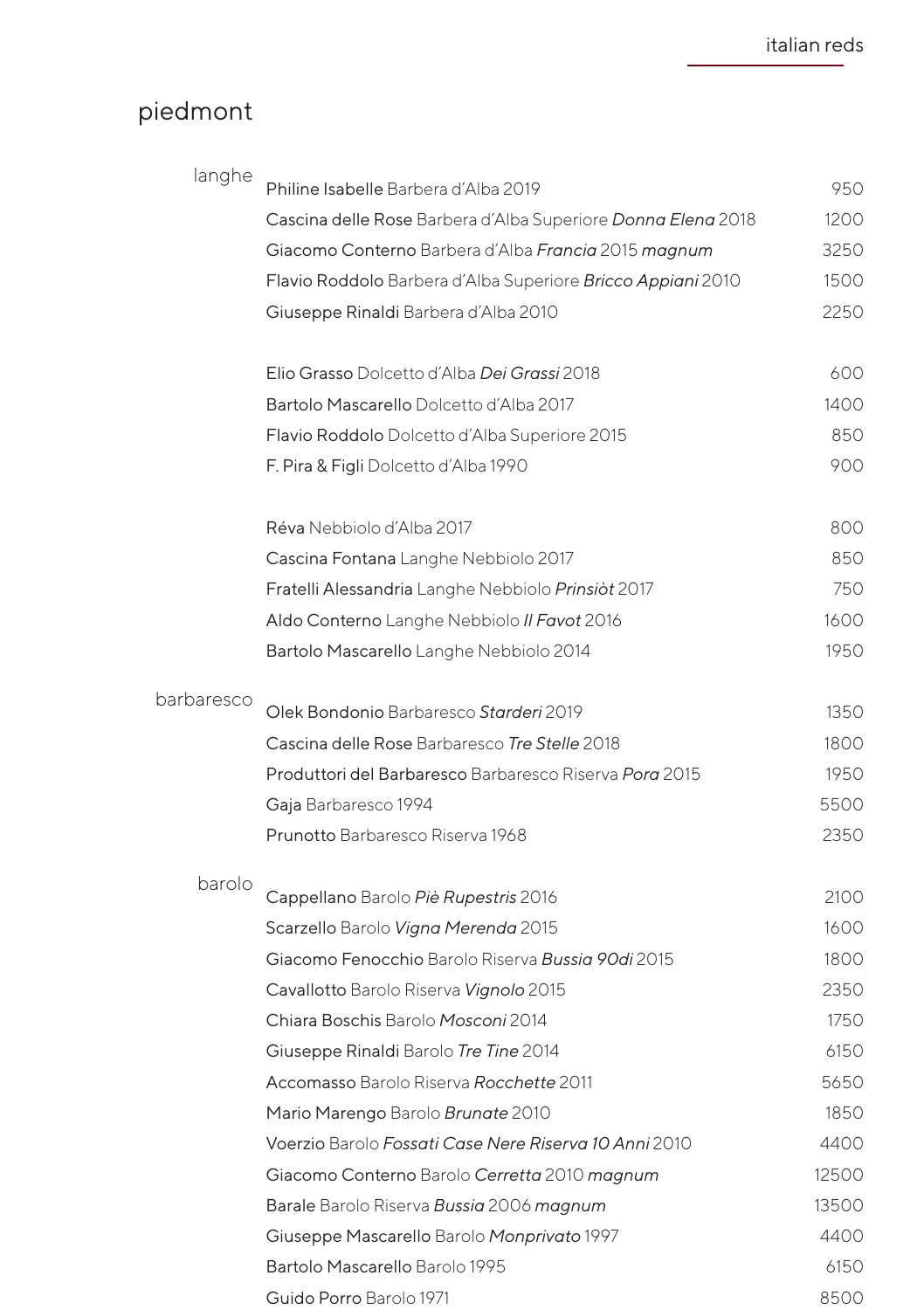## piedmont

| langhe     | Philine Isabelle Barbera d'Alba 2019                         | 950   |
|------------|--------------------------------------------------------------|-------|
|            | Cascina delle Rose Barbera d'Alba Superiore Donna Elena 2018 | 1200  |
|            | Giacomo Conterno Barbera d'Alba Francia 2015 magnum          | 3250  |
|            | Flavio Roddolo Barbera d'Alba Superiore Bricco Appiani 2010  | 1500  |
|            | Giuseppe Rinaldi Barbera d'Alba 2010                         | 2250  |
|            |                                                              |       |
|            | Elio Grasso Dolcetto d'Alba Dei Grassi 2018                  | 600   |
|            | Bartolo Mascarello Dolcetto d'Alba 2017                      | 1400  |
|            | Flavio Roddolo Dolcetto d'Alba Superiore 2015                | 850   |
|            | F. Pira & Figli Dolcetto d'Alba 1990                         | 900   |
|            | Réva Nebbiolo d'Alba 2017                                    | 800   |
|            | Cascina Fontana Langhe Nebbiolo 2017                         | 850   |
|            | Fratelli Alessandria Langhe Nebbiolo Prinsiòt 2017           | 750   |
|            | Aldo Conterno Langhe Nebbiolo II Favot 2016                  | 1600  |
|            | Bartolo Mascarello Langhe Nebbiolo 2014                      | 1950  |
| barbaresco | Olek Bondonio Barbaresco Starderi 2019                       | 1350  |
|            | Cascina delle Rose Barbaresco Tre Stelle 2018                | 1800  |
|            | Produttori del Barbaresco Barbaresco Riserva Porg 2015       | 1950  |
|            | Gaja Barbaresco 1994                                         | 5500  |
|            | Prunotto Barbaresco Riserva 1968                             | 2350  |
| barolo     | Cappellano Barolo Piè Rupestris 2016                         | 2100  |
|            | Scarzello Barolo Vigna Merenda 2015                          | 1600  |
|            | Giacomo Fenocchio Barolo Riserva Bussig 90di 2015            | 1800  |
|            | Cavallotto Barolo Riserva Vignolo 2015                       | 2350  |
|            | Chiara Boschis Barolo Mosconi 2014                           | 1750  |
|            | Giuseppe Rinaldi Barolo Tre Tine 2014                        | 6150  |
|            | Accomasso Barolo Riserva Rocchette 2011                      | 5650  |
|            | Mario Marengo Barolo Brunate 2010                            | 1850  |
|            | Voerzio Barolo Fossati Case Nere Riserva 10 Anni 2010        | 4400  |
|            | Giacomo Conterno Barolo Cerretta 2010 magnum                 | 12500 |
|            | Barale Barolo Riserva Bussia 2006 magnum                     | 13500 |
|            | Giuseppe Mascarello Barolo Monprivato 1997                   | 4400  |
|            | Bartolo Mascarello Barolo 1995                               | 6150  |
|            | Guido Porro Barolo 1971                                      | 8500  |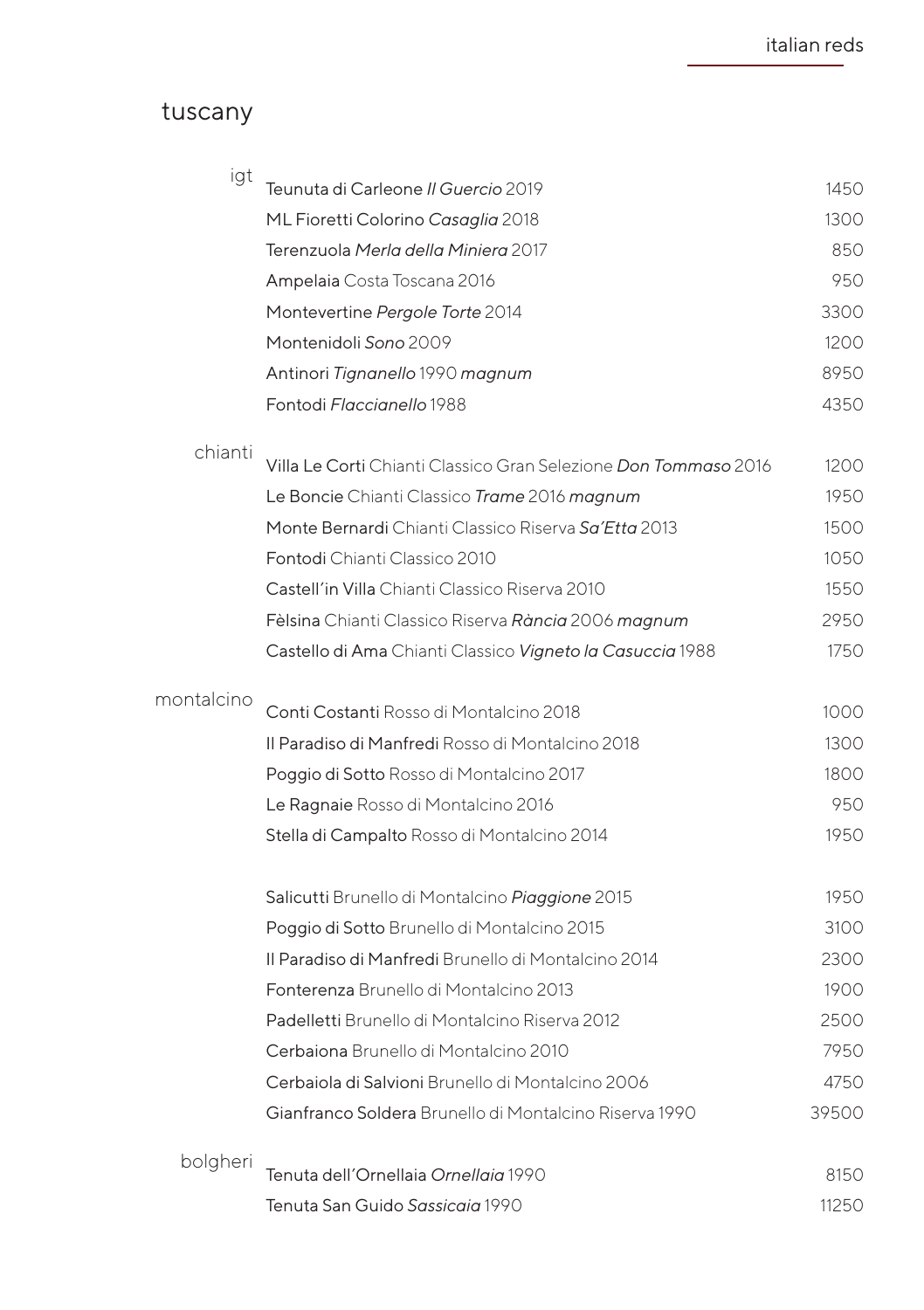#### tuscany

| igt        | Teunuta di Carleone II Guercio 2019                                    | 1450  |
|------------|------------------------------------------------------------------------|-------|
|            |                                                                        |       |
|            | ML Fioretti Colorino Casaglia 2018                                     | 1300  |
|            | Terenzuola Merla della Miniera 2017                                    | 850   |
|            | Ampelaia Costa Toscana 2016                                            | 950   |
|            | Montevertine Pergole Torte 2014                                        | 3300  |
|            | Montenidoli Sono 2009                                                  | 1200  |
|            | Antinori Tignanello 1990 magnum                                        | 8950  |
|            | Fontodi Flaccianello 1988                                              | 4350  |
| chianti    | Villa Le Corti Chianti Classico Gran Selezione <i>Don Tommaso</i> 2016 | 1200  |
|            | Le Boncie Chianti Classico Trame 2016 magnum                           | 1950  |
|            | Monte Bernardi Chianti Classico Riserva Sq'Ettq 2013                   | 1500  |
|            | Fontodi Chianti Classico 2010                                          | 1050  |
|            | Castell'in Villa Chianti Classico Riserva 2010                         | 1550  |
|            | Fèlsina Chianti Classico Riserva Rància 2006 magnum                    | 2950  |
|            |                                                                        | 1750  |
|            | Castello di Ama Chianti Classico Vigneto la Casuccia 1988              |       |
| montalcino | Conti Costanti Rosso di Montalcino 2018                                | 1000  |
|            | Il Paradiso di Manfredi Rosso di Montalcino 2018                       | 1300  |
|            | Poggio di Sotto Rosso di Montalcino 2017                               | 1800  |
|            | Le Ragnaie Rosso di Montalcino 2016                                    | 950   |
|            | Stella di Campalto Rosso di Montalcino 2014                            | 1950  |
|            | Salicutti Brunello di Montalcino Piaggione 2015                        | 1950  |
|            | Poggio di Sotto Brunello di Montalcino 2015                            | 3100  |
|            | Il Paradiso di Manfredi Brunello di Montalcino 2014                    | 2300  |
|            | Fonterenza Brunello di Montalcino 2013                                 | 1900  |
|            | Padelletti Brunello di Montalcino Riserva 2012                         | 2500  |
|            | Cerbaiona Brunello di Montalcino 2010                                  | 7950  |
|            | Cerbaiola di Salvioni Brunello di Montalcino 2006                      | 4750  |
|            | Gianfranco Soldera Brunello di Montalcino Riserva 1990                 | 39500 |
|            |                                                                        |       |
| bolgheri   | Tenuta dell'Ornellaja Ornellaja 1990                                   | 8150  |
|            | Tenuta San Guido Sassicaia 1990                                        | 11250 |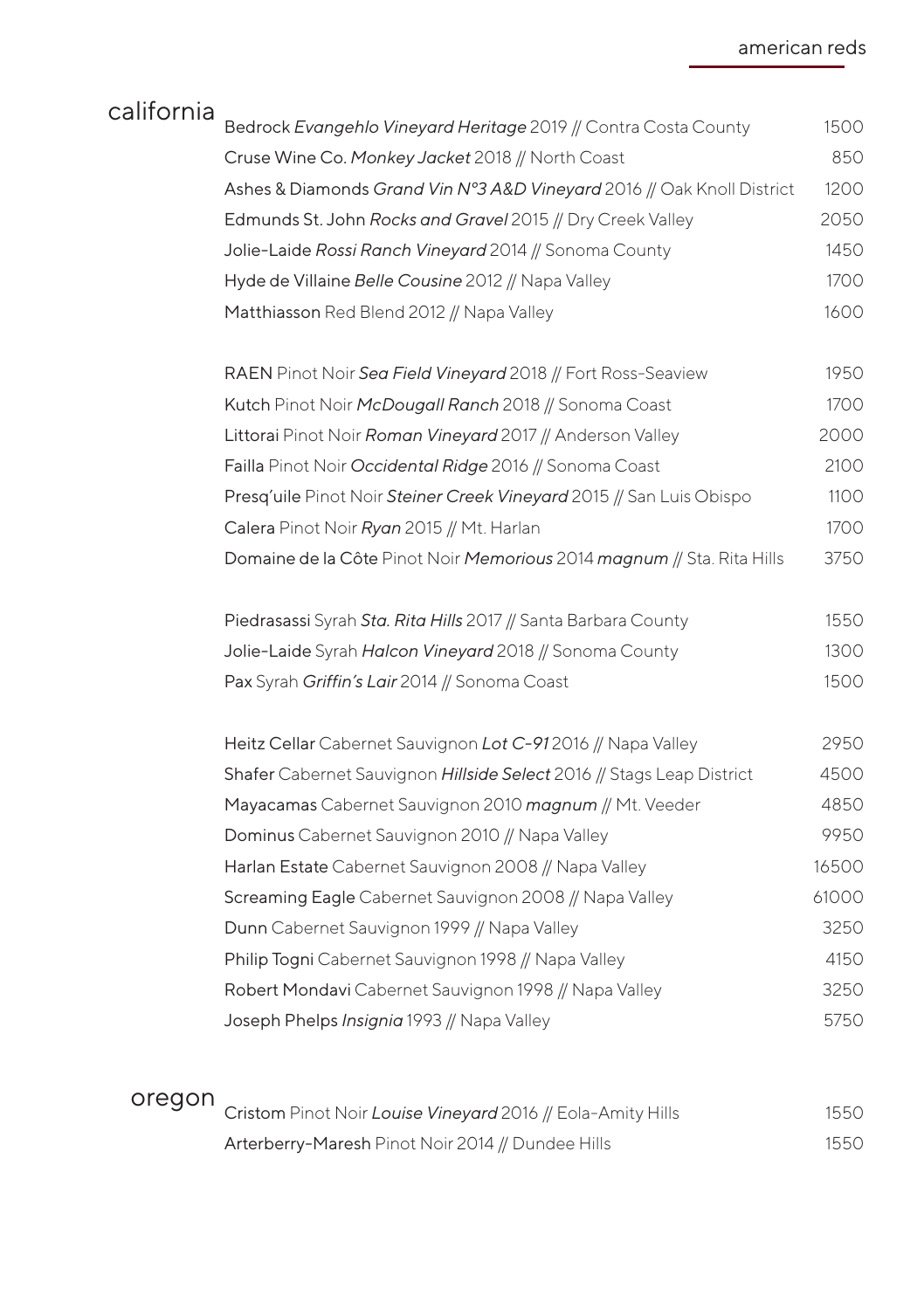| california | Bedrock Evangehlo Vineyard Heritage 2019 // Contra Costa County        | 1500  |
|------------|------------------------------------------------------------------------|-------|
|            | Cruse Wine Co. Monkey Jacket 2018 // North Coast                       | 850   |
|            | Ashes & Diamonds Grand Vin N°3 A&D Vineyard 2016 // Oak Knoll District | 1200  |
|            | Edmunds St. John Rocks and Gravel 2015 // Dry Creek Valley             | 2050  |
|            | Jolie-Laide Rossi Ranch Vineyard 2014 // Sonoma County                 | 1450  |
|            | Hyde de Villaine Belle Cousine 2012 // Napa Valley                     | 1700  |
|            | Matthiasson Red Blend 2012 // Napa Valley                              | 1600  |
|            |                                                                        |       |
|            | RAEN Pinot Noir Sea Field Vineyard 2018 // Fort Ross-Seaview           | 1950  |
|            | Kutch Pinot Noir McDougall Ranch 2018 // Sonoma Coast                  | 1700  |
|            | Littorai Pinot Noir Roman Vineyard 2017 // Anderson Valley             | 2000  |
|            | Failla Pinot Noir Occidental Ridge 2016 // Sonoma Coast                | 2100  |
|            | Presg'uile Pinot Noir Steiner Creek Vineyard 2015 // San Luis Obispo   | 1100  |
|            | Calera Pinot Noir Ryan 2015 // Mt. Harlan                              | 1700  |
|            | Domaine de la Côte Pinot Noir Memorious 2014 magnum // Sta. Rita Hills | 3750  |
|            | Piedrasassi Syrah Sta. Rita Hills 2017 // Santa Barbara County         | 1550  |
|            | Jolie-Laide Syrah Halcon Vineyard 2018 // Sonoma County                | 1300  |
|            | Pax Syrah Griffin's Lair 2014 // Sonoma Coast                          | 1500  |
|            | Heitz Cellar Cabernet Sauvignon Lot C-912016 // Napa Valley            | 2950  |
|            | Shafer Cabernet Sauvignon Hillside Select 2016 // Stags Leap District  | 4500  |
|            | Mayacamas Cabernet Sauvignon 2010 magnum // Mt. Veeder                 | 4850  |
|            | Dominus Cabernet Sauvignon 2010 // Napa Valley                         | 9950  |
|            | Harlan Estate Cabernet Sauvignon 2008 // Napa Valley                   | 16500 |
|            | Screaming Eagle Cabernet Sauvignon 2008 // Napa Valley                 | 61000 |
|            | Dunn Cabernet Sauvignon 1999 // Napa Valley                            | 3250  |
|            | Philip Togni Cabernet Sauvignon 1998 // Napa Valley                    | 4150  |
|            | Robert Mondavi Cabernet Sauvignon 1998 // Napa Valley                  | 3250  |
|            | Joseph Phelps Insignia 1993 // Napa Valley                             | 5750  |
|            |                                                                        |       |

| oregon | Cristom Pinot Noir Louise Vineyard 2016 // Eola-Amity Hills | 1550 |
|--------|-------------------------------------------------------------|------|
|        | Arterberry-Maresh Pinot Noir 2014 // Dundee Hills           | 1550 |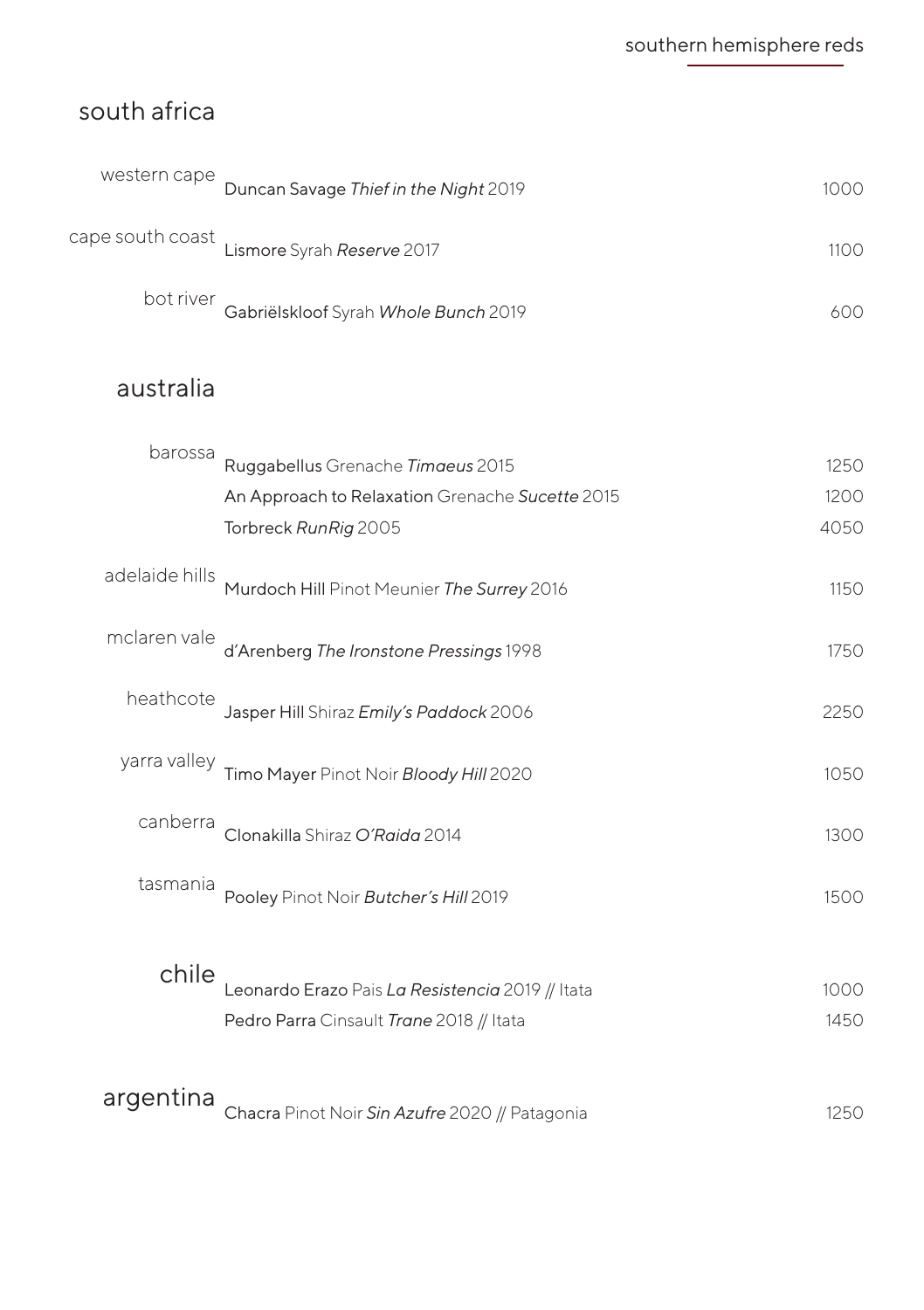## south africa

| western cape | Duncan Savage Thief in the Night 2019          | 1000  |
|--------------|------------------------------------------------|-------|
|              | cape south coast<br>Lismore Syrah Reserve 2017 | 1100. |
| bot river    | Gabriëlskloof Syrah Whole Bunch 2019           | 600.  |

## australia

| barossa        | Ruggabellus Grenache Timaeus 2015                | 1250 |
|----------------|--------------------------------------------------|------|
|                | An Approach to Relaxation Grenache Sucette 2015  | 1200 |
|                | Torbreck RunRig 2005                             | 4050 |
| adelaide hills | Murdoch Hill Pinot Meunier The Surrey 2016       | 1150 |
| mclaren vale   | d'Arenberg The Ironstone Pressings 1998          | 1750 |
| heathcote      | Jasper Hill Shiraz Emily's Paddock 2006          | 2250 |
| yarra valley   | Timo Mayer Pinot Noir Bloody Hill 2020           | 1050 |
| canberra       | Clonakilla Shiraz O'Raida 2014                   | 1300 |
| tasmania       | Pooley Pinot Noir Butcher's Hill 2019            | 1500 |
| chile          | Leonardo Erazo Pais La Resistencia 2019 // Itata | 1000 |
|                | Pedro Parra Cinsault Trane 2018 // Itata         | 1450 |
| argentina      | Chacra Pinot Noir Sin Azufre 2020 // Patagonia   | 1250 |